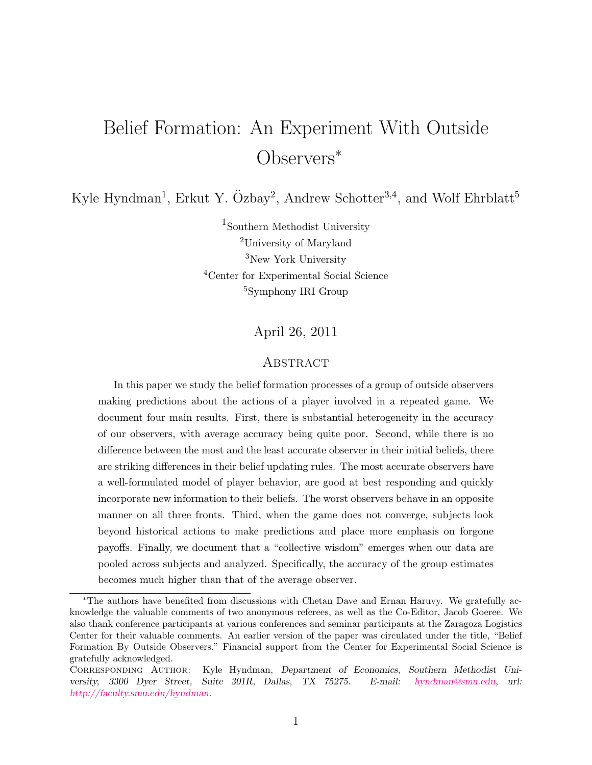# Belief Formation: An Experiment With Outside Observers<sup>∗</sup>

Kyle Hyndman<sup>1</sup>, Erkut Y. Özbay<sup>2</sup>, Andrew Schotter<sup>3,4</sup>, and Wolf Ehrblatt<sup>5</sup>

 Southern Methodist University University of Maryland New York University Center for Experimental Social Science Symphony IRI Group

### April 26, 2011

### **ABSTRACT**

In this paper we study the belief formation processes of a group of outside observers making predictions about the actions of a player involved in a repeated game. We document four main results. First, there is substantial heterogeneity in the accuracy of our observers, with average accuracy being quite poor. Second, while there is no difference between the most and the least accurate observer in their initial beliefs, there are striking differences in their belief updating rules. The most accurate observers have a well-formulated model of player behavior, are good at best responding and quickly incorporate new information to their beliefs. The worst observers behave in an opposite manner on all three fronts. Third, when the game does not converge, subjects look beyond historical actions to make predictions and place more emphasis on forgone payoffs. Finally, we document that a "collective wisdom" emerges when our data are pooled across subjects and analyzed. Specifically, the accuracy of the group estimates becomes much higher than that of the average observer.

<sup>∗</sup>The authors have benefited from discussions with Chetan Dave and Ernan Haruvy. We gratefully acknowledge the valuable comments of two anonymous referees, as well as the Co-Editor, Jacob Goeree. We also thank conference participants at various conferences and seminar participants at the Zaragoza Logistics Center for their valuable comments. An earlier version of the paper was circulated under the title, "Belief Formation By Outside Observers." Financial support from the Center for Experimental Social Science is gratefully acknowledged.

Corresponding Author: Kyle Hyndman, Department of Economics, Southern Methodist University, 3300 Dyer Street, Suite 301R, Dallas, TX 75275. E-mail: [hyndman@smu.edu,](mailto:hyndman@smu.edu) url: [http://faculty.smu.edu/hyndman.](http://faculty.smu.edu/hyndman)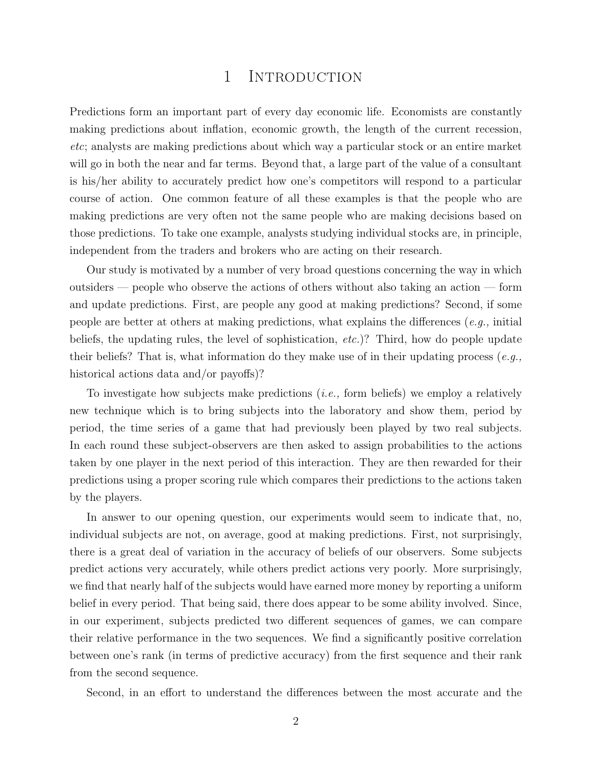# 1 Introduction

Predictions form an important part of every day economic life. Economists are constantly making predictions about inflation, economic growth, the length of the current recession, etc; analysts are making predictions about which way a particular stock or an entire market will go in both the near and far terms. Beyond that, a large part of the value of a consultant is his/her ability to accurately predict how one's competitors will respond to a particular course of action. One common feature of all these examples is that the people who are making predictions are very often not the same people who are making decisions based on those predictions. To take one example, analysts studying individual stocks are, in principle, independent from the traders and brokers who are acting on their research.

Our study is motivated by a number of very broad questions concerning the way in which outsiders — people who observe the actions of others without also taking an action — form and update predictions. First, are people any good at making predictions? Second, if some people are better at others at making predictions, what explains the differences (e.g., initial beliefs, the updating rules, the level of sophistication, etc.)? Third, how do people update their beliefs? That is, what information do they make use of in their updating process  $(e.g.,)$ historical actions data and/or payoffs)?

To investigate how subjects make predictions  $(i.e., form beliefs)$  we employ a relatively new technique which is to bring subjects into the laboratory and show them, period by period, the time series of a game that had previously been played by two real subjects. In each round these subject-observers are then asked to assign probabilities to the actions taken by one player in the next period of this interaction. They are then rewarded for their predictions using a proper scoring rule which compares their predictions to the actions taken by the players.

In answer to our opening question, our experiments would seem to indicate that, no, individual subjects are not, on average, good at making predictions. First, not surprisingly, there is a great deal of variation in the accuracy of beliefs of our observers. Some subjects predict actions very accurately, while others predict actions very poorly. More surprisingly, we find that nearly half of the subjects would have earned more money by reporting a uniform belief in every period. That being said, there does appear to be some ability involved. Since, in our experiment, subjects predicted two different sequences of games, we can compare their relative performance in the two sequences. We find a significantly positive correlation between one's rank (in terms of predictive accuracy) from the first sequence and their rank from the second sequence.

Second, in an effort to understand the differences between the most accurate and the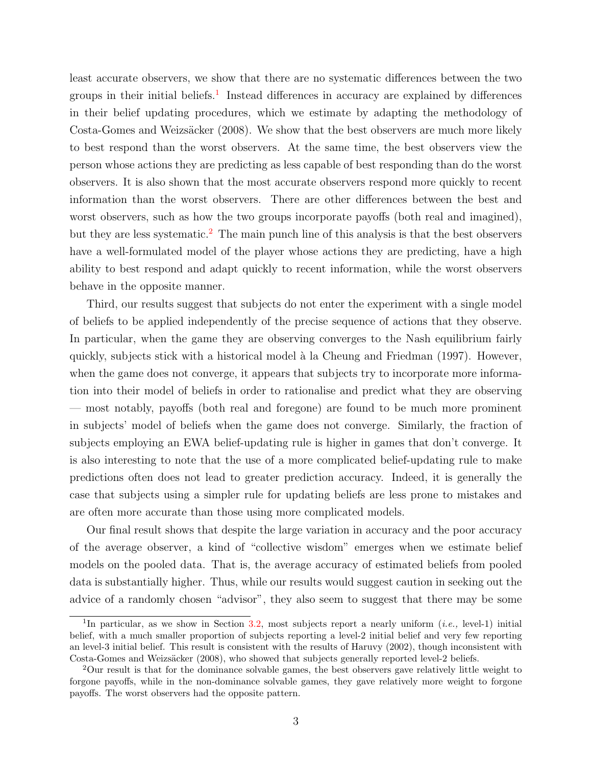least accurate observers, we show that there are no systematic differences between the two groups in their initial beliefs.<sup>[1](#page-2-0)</sup> Instead differences in accuracy are explained by differences in their belief updating procedures, which we estimate by adapting the methodology of Costa-Gomes and Weizsäcker [\(2008\)](#page-26-0). We show that the best observers are much more likely to best respond than the worst observers. At the same time, the best observers view the person whose actions they are predicting as less capable of best responding than do the worst observers. It is also shown that the most accurate observers respond more quickly to recent information than the worst observers. There are other differences between the best and worst observers, such as how the two groups incorporate payoffs (both real and imagined), but they are less systematic.<sup>[2](#page-2-1)</sup> The main punch line of this analysis is that the best observers have a well-formulated model of the player whose actions they are predicting, have a high ability to best respond and adapt quickly to recent information, while the worst observers behave in the opposite manner.

Third, our results suggest that subjects do not enter the experiment with a single model of beliefs to be applied independently of the precise sequence of actions that they observe. In particular, when the game they are observing converges to the Nash equilibrium fairly quickly, subjects stick with a historical model `a la [Cheung and Friedman](#page-26-1) [\(1997\)](#page-26-1). However, when the game does not converge, it appears that subjects try to incorporate more information into their model of beliefs in order to rationalise and predict what they are observing — most notably, payoffs (both real and foregone) are found to be much more prominent in subjects' model of beliefs when the game does not converge. Similarly, the fraction of subjects employing an EWA belief-updating rule is higher in games that don't converge. It is also interesting to note that the use of a more complicated belief-updating rule to make predictions often does not lead to greater prediction accuracy. Indeed, it is generally the case that subjects using a simpler rule for updating beliefs are less prone to mistakes and are often more accurate than those using more complicated models.

Our final result shows that despite the large variation in accuracy and the poor accuracy of the average observer, a kind of "collective wisdom" emerges when we estimate belief models on the pooled data. That is, the average accuracy of estimated beliefs from pooled data is substantially higher. Thus, while our results would suggest caution in seeking out the advice of a randomly chosen "advisor", they also seem to suggest that there may be some

<span id="page-2-0"></span><sup>&</sup>lt;sup>1</sup>In particular, as we show in Section [3.2,](#page-9-0) most subjects report a nearly uniform (*i.e.*, level-1) initial belief, with a much smaller proportion of subjects reporting a level-2 initial belief and very few reporting an level-3 initial belief. This result is consistent with the results of [Haruvy](#page-26-2) [\(2002\)](#page-26-2), though inconsistent with Costa-Gomes and Weizsäcker [\(2008\)](#page-26-0), who showed that subjects generally reported level-2 beliefs.

<span id="page-2-1"></span><sup>2</sup>Our result is that for the dominance solvable games, the best observers gave relatively little weight to forgone payoffs, while in the non-dominance solvable games, they gave relatively more weight to forgone payoffs. The worst observers had the opposite pattern.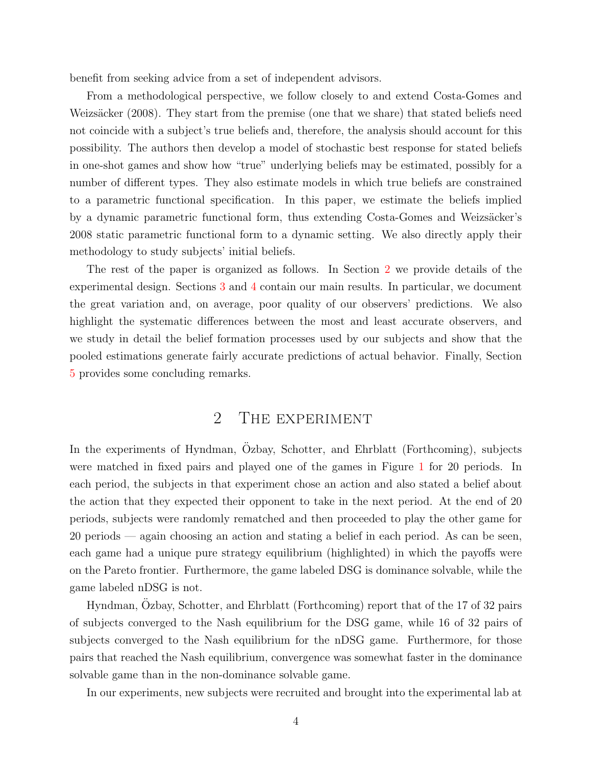benefit from seeking advice from a set of independent advisors.

From a methodological perspective, we follow closely to and extend [Costa-Gomes and](#page-26-0) Weizsäcker [\(2008\)](#page-26-0). They start from the premise (one that we share) that stated beliefs need not coincide with a subject's true beliefs and, therefore, the analysis should account for this possibility. The authors then develop a model of stochastic best response for stated beliefs in one-shot games and show how "true" underlying beliefs may be estimated, possibly for a number of different types. They also estimate models in which true beliefs are constrained to a parametric functional specification. In this paper, we estimate the beliefs implied by a dynamic parametric functional form, thus extending Costa-Gomes and Weizsäcker's [2008](#page-26-0) static parametric functional form to a dynamic setting. We also directly apply their methodology to study subjects' initial beliefs.

The rest of the paper is organized as follows. In Section [2](#page-3-0) we provide details of the experimental design. Sections [3](#page-5-0) and [4](#page-12-0) contain our main results. In particular, we document the great variation and, on average, poor quality of our observers' predictions. We also highlight the systematic differences between the most and least accurate observers, and we study in detail the belief formation processes used by our subjects and show that the pooled estimations generate fairly accurate predictions of actual behavior. Finally, Section [5](#page-24-0) provides some concluding remarks.

# 2 The experiment

<span id="page-3-0"></span>In the experiments of Hyndman, [Ozbay, Schotter, and Ehrblatt](#page-26-3) [\(Forthcoming\)](#page-26-3), subjects were matched in fixed pairs and played one of the games in Figure [1](#page-4-0) for 20 periods. In each period, the subjects in that experiment chose an action and also stated a belief about the action that they expected their opponent to take in the next period. At the end of 20 periods, subjects were randomly rematched and then proceeded to play the other game for 20 periods — again choosing an action and stating a belief in each period. As can be seen, each game had a unique pure strategy equilibrium (highlighted) in which the payoffs were on the Pareto frontier. Furthermore, the game labeled DSG is dominance solvable, while the game labeled nDSG is not.

Hyndman, [Ozbay, Schotter, and Ehrblatt](#page-26-3) [\(Forthcoming\)](#page-26-3) report that of the 17 of 32 pairs of subjects converged to the Nash equilibrium for the DSG game, while 16 of 32 pairs of subjects converged to the Nash equilibrium for the nDSG game. Furthermore, for those pairs that reached the Nash equilibrium, convergence was somewhat faster in the dominance solvable game than in the non-dominance solvable game.

In our experiments, new subjects were recruited and brought into the experimental lab at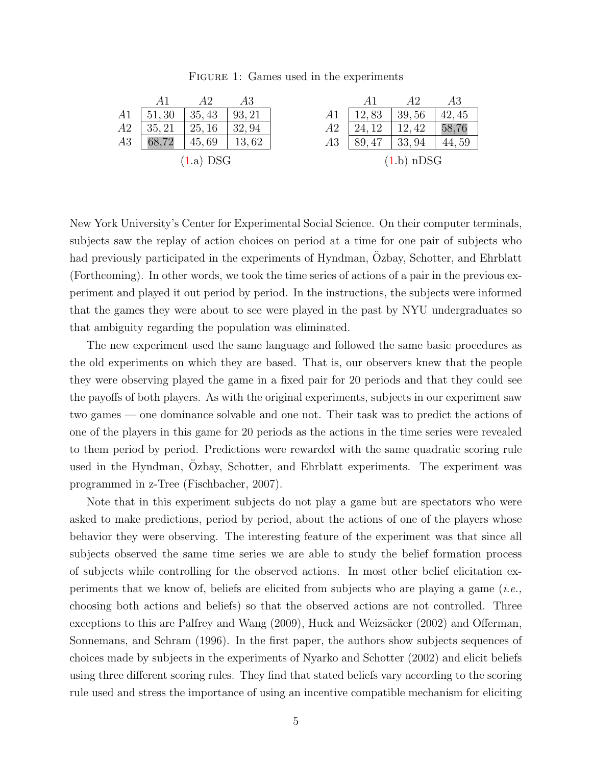FIGURE 1: Games used in the experiments

<span id="page-4-0"></span>

|    | Αl     | A2          | A3     |              | ΑI        | Aʻ2   | A3     |
|----|--------|-------------|--------|--------------|-----------|-------|--------|
| A1 | 51,30  | 35, 43      | 93, 21 | A1           | .83       | 39,56 | 42, 45 |
| A2 | 35, 21 | 25, 16      | 32,94  | А2           | 12<br>24. | 12,42 | 58,76  |
| A3 | 68,72  | 45,69       | 13,62  | A3           | 89, 47    | 33,94 | 44,59  |
|    |        | $(1.a)$ DSG |        | $(1.b)$ nDSG |           |       |        |

New York University's Center for Experimental Social Science. On their computer terminals, subjects saw the replay of action choices on period at a time for one pair of subjects who had previously participated in the experiments of Hyndman, [Ozbay, Schotter, and Ehrblatt](#page-26-3) [\(Forthcoming\)](#page-26-3). In other words, we took the time series of actions of a pair in the previous experiment and played it out period by period. In the instructions, the subjects were informed that the games they were about to see were played in the past by NYU undergraduates so that ambiguity regarding the population was eliminated.

The new experiment used the same language and followed the same basic procedures as the old experiments on which they are based. That is, our observers knew that the people they were observing played the game in a fixed pair for 20 periods and that they could see the payoffs of both players. As with the original experiments, subjects in our experiment saw two games — one dominance solvable and one not. Their task was to predict the actions of one of the players in this game for 20 periods as the actions in the time series were revealed to them period by period. Predictions were rewarded with the same quadratic scoring rule used in the Hyndman, [Ozbay, Schotter, and Ehrblatt](#page-26-3) experiments. The experiment was programmed in z-Tree [\(Fischbacher,](#page-26-4) [2007\)](#page-26-4).

Note that in this experiment subjects do not play a game but are spectators who were asked to make predictions, period by period, about the actions of one of the players whose behavior they were observing. The interesting feature of the experiment was that since all subjects observed the same time series we are able to study the belief formation process of subjects while controlling for the observed actions. In most other belief elicitation experiments that we know of, beliefs are elicited from subjects who are playing a game (*i.e.*, choosing both actions and beliefs) so that the observed actions are not controlled. Three exceptions to this are [Palfrey and Wang](#page-27-0) [\(2009\)](#page-27-0), Huck and Weizsäcker [\(2002\)](#page-26-5) and [Offerman,](#page-26-6) [Sonnemans, and Schram](#page-26-6) [\(1996\)](#page-26-6). In the first paper, the authors show subjects sequences of choices made by subjects in the experiments of [Nyarko and Schotter](#page-26-7) [\(2002\)](#page-26-7) and elicit beliefs using three different scoring rules. They find that stated beliefs vary according to the scoring rule used and stress the importance of using an incentive compatible mechanism for eliciting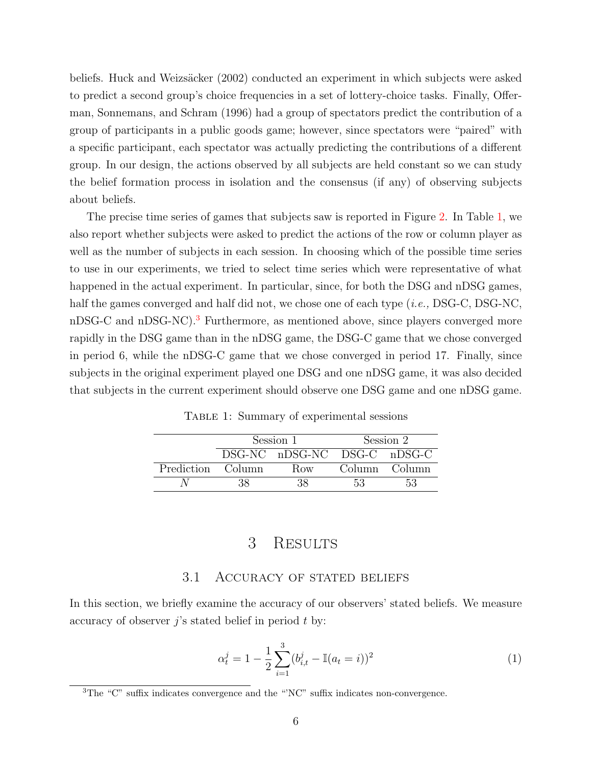beliefs. Huck and Weizsäcker [\(2002\)](#page-26-5) conducted an experiment in which subjects were asked to predict a second group's choice frequencies in a set of lottery-choice tasks. Finally, [Offer](#page-26-6)[man, Sonnemans, and Schram](#page-26-6) [\(1996\)](#page-26-6) had a group of spectators predict the contribution of a group of participants in a public goods game; however, since spectators were "paired" with a specific participant, each spectator was actually predicting the contributions of a different group. In our design, the actions observed by all subjects are held constant so we can study the belief formation process in isolation and the consensus (if any) of observing subjects about beliefs.

The precise time series of games that subjects saw is reported in Figure [2.](#page-6-0) In Table [1,](#page-5-1) we also report whether subjects were asked to predict the actions of the row or column player as well as the number of subjects in each session. In choosing which of the possible time series to use in our experiments, we tried to select time series which were representative of what happened in the actual experiment. In particular, since, for both the DSG and nDSG games, half the games converged and half did not, we chose one of each type (*i.e.*, DSG-C, DSG-NC, nDSG-C and nDSG-NC).[3](#page-5-2) Furthermore, as mentioned above, since players converged more rapidly in the DSG game than in the nDSG game, the DSG-C game that we chose converged in period 6, while the nDSG-C game that we chose converged in period 17. Finally, since subjects in the original experiment played one DSG and one nDSG game, it was also decided that subjects in the current experiment should observe one DSG game and one nDSG game.

| TABLE 1: Summary of experimental sessions |  |  |
|-------------------------------------------|--|--|
|                                           |  |  |

<span id="page-5-1"></span>

|                   | Session 1 |                             |    | Session 2     |
|-------------------|-----------|-----------------------------|----|---------------|
|                   |           | DSG-NC nDSG-NC DSG-C nDSG-C |    |               |
| Prediction Column |           | <b>Row</b>                  |    | Column Column |
|                   |           | 38                          | 53 | 53            |

# 3 Results

#### 3.1 Accuracy of stated beliefs

<span id="page-5-0"></span>In this section, we briefly examine the accuracy of our observers' stated beliefs. We measure accuracy of observer  $j$ 's stated belief in period  $t$  by:

<span id="page-5-3"></span>
$$
\alpha_t^j = 1 - \frac{1}{2} \sum_{i=1}^3 (b_{i,t}^j - \mathbb{I}(a_t = i))^2
$$
 (1)

<span id="page-5-2"></span><sup>3</sup>The "C" suffix indicates convergence and the "'NC" suffix indicates non-convergence.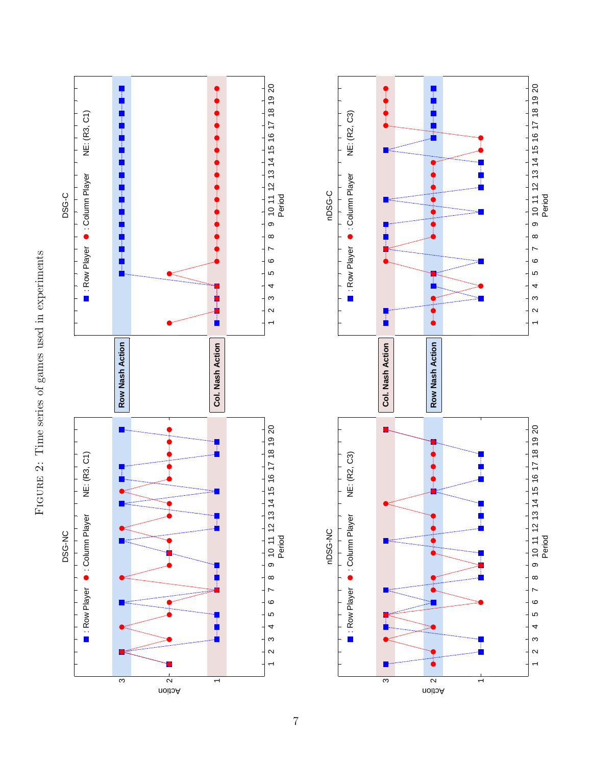

<span id="page-6-0"></span>

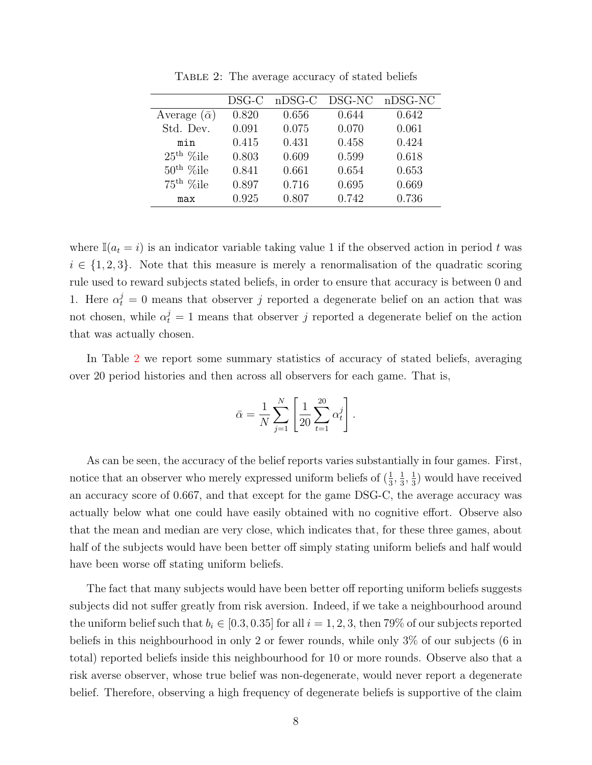<span id="page-7-0"></span>

|                          | DSG-C | $nDSG-C$ | DSG-NC | nDSG-NC |
|--------------------------|-------|----------|--------|---------|
| Average $(\bar{\alpha})$ | 0.820 | 0.656    | 0.644  | 0.642   |
| Std. Dev.                | 0.091 | 0.075    | 0.070  | 0.061   |
| min                      | 0.415 | 0.431    | 0.458  | 0.424   |
| $25^{\text{th}}$ %ile    | 0.803 | 0.609    | 0.599  | 0.618   |
| $50^{\text{th}}$ %ile    | 0.841 | 0.661    | 0.654  | 0.653   |
| $75^{\text{th}}$ %ile    | 0.897 | 0.716    | 0.695  | 0.669   |
| max                      | 0.925 | 0.807    | 0.742  | 0.736   |

Table 2: The average accuracy of stated beliefs

where  $\mathbb{I}(a_t = i)$  is an indicator variable taking value 1 if the observed action in period t was  $i \in \{1,2,3\}$ . Note that this measure is merely a renormalisation of the quadratic scoring rule used to reward subjects stated beliefs, in order to ensure that accuracy is between 0 and 1. Here  $\alpha_t^j = 0$  means that observer j reported a degenerate belief on an action that was not chosen, while  $\alpha_t^j = 1$  means that observer j reported a degenerate belief on the action that was actually chosen.

In Table [2](#page-7-0) we report some summary statistics of accuracy of stated beliefs, averaging over 20 period histories and then across all observers for each game. That is,

$$
\bar{\alpha} = \frac{1}{N} \sum_{j=1}^{N} \left[ \frac{1}{20} \sum_{t=1}^{20} \alpha_t^j \right].
$$

As can be seen, the accuracy of the belief reports varies substantially in four games. First, notice that an observer who merely expressed uniform beliefs of  $(\frac{1}{3}, \frac{1}{3})$  $\frac{1}{3}, \frac{1}{3}$  $\frac{1}{3}$ ) would have received an accuracy score of 0.667, and that except for the game DSG-C, the average accuracy was actually below what one could have easily obtained with no cognitive effort. Observe also that the mean and median are very close, which indicates that, for these three games, about half of the subjects would have been better off simply stating uniform beliefs and half would have been worse off stating uniform beliefs.

The fact that many subjects would have been better off reporting uniform beliefs suggests subjects did not suffer greatly from risk aversion. Indeed, if we take a neighbourhood around the uniform belief such that  $b_i \in [0.3, 0.35]$  for all  $i = 1, 2, 3$ , then 79% of our subjects reported beliefs in this neighbourhood in only 2 or fewer rounds, while only 3% of our subjects (6 in total) reported beliefs inside this neighbourhood for 10 or more rounds. Observe also that a risk averse observer, whose true belief was non-degenerate, would never report a degenerate belief. Therefore, observing a high frequency of degenerate beliefs is supportive of the claim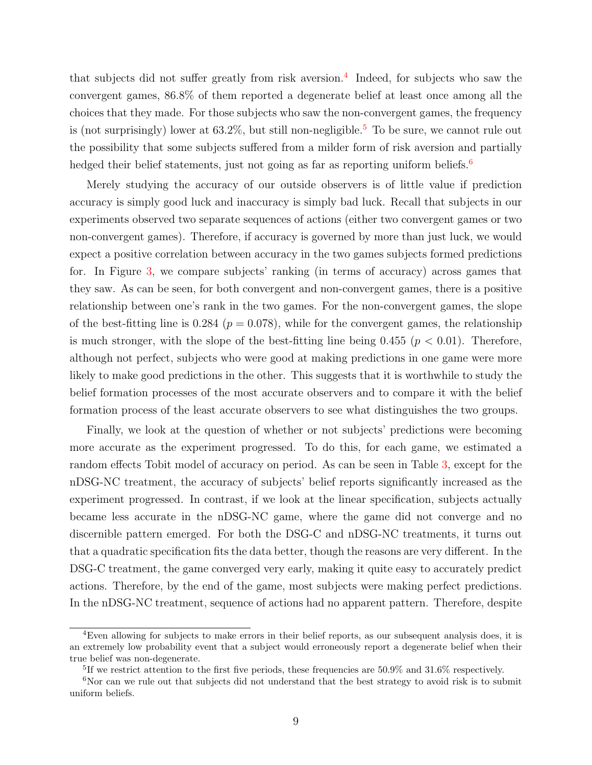that subjects did not suffer greatly from risk aversion.<sup>[4](#page-8-0)</sup> Indeed, for subjects who saw the convergent games, 86.8% of them reported a degenerate belief at least once among all the choices that they made. For those subjects who saw the non-convergent games, the frequency is (not surprisingly) lower at  $63.2\%$ , but still non-negligible.<sup>[5](#page-8-1)</sup> To be sure, we cannot rule out the possibility that some subjects suffered from a milder form of risk aversion and partially hedged their belief statements, just not going as far as reporting uniform beliefs.<sup>[6](#page-8-2)</sup>

Merely studying the accuracy of our outside observers is of little value if prediction accuracy is simply good luck and inaccuracy is simply bad luck. Recall that subjects in our experiments observed two separate sequences of actions (either two convergent games or two non-convergent games). Therefore, if accuracy is governed by more than just luck, we would expect a positive correlation between accuracy in the two games subjects formed predictions for. In Figure [3,](#page-9-1) we compare subjects' ranking (in terms of accuracy) across games that they saw. As can be seen, for both convergent and non-convergent games, there is a positive relationship between one's rank in the two games. For the non-convergent games, the slope of the best-fitting line is 0.284 ( $p = 0.078$ ), while for the convergent games, the relationship is much stronger, with the slope of the best-fitting line being 0.455 ( $p < 0.01$ ). Therefore, although not perfect, subjects who were good at making predictions in one game were more likely to make good predictions in the other. This suggests that it is worthwhile to study the belief formation processes of the most accurate observers and to compare it with the belief formation process of the least accurate observers to see what distinguishes the two groups.

Finally, we look at the question of whether or not subjects' predictions were becoming more accurate as the experiment progressed. To do this, for each game, we estimated a random effects Tobit model of accuracy on period. As can be seen in Table [3,](#page-9-2) except for the nDSG-NC treatment, the accuracy of subjects' belief reports significantly increased as the experiment progressed. In contrast, if we look at the linear specification, subjects actually became less accurate in the nDSG-NC game, where the game did not converge and no discernible pattern emerged. For both the DSG-C and nDSG-NC treatments, it turns out that a quadratic specification fits the data better, though the reasons are very different. In the DSG-C treatment, the game converged very early, making it quite easy to accurately predict actions. Therefore, by the end of the game, most subjects were making perfect predictions. In the nDSG-NC treatment, sequence of actions had no apparent pattern. Therefore, despite

<span id="page-8-0"></span><sup>4</sup>Even allowing for subjects to make errors in their belief reports, as our subsequent analysis does, it is an extremely low probability event that a subject would erroneously report a degenerate belief when their true belief was non-degenerate.

<span id="page-8-2"></span><span id="page-8-1"></span><sup>&</sup>lt;sup>5</sup>If we restrict attention to the first five periods, these frequencies are  $50.9\%$  and  $31.6\%$  respectively.

 $6$ Nor can we rule out that subjects did not understand that the best strategy to avoid risk is to submit uniform beliefs.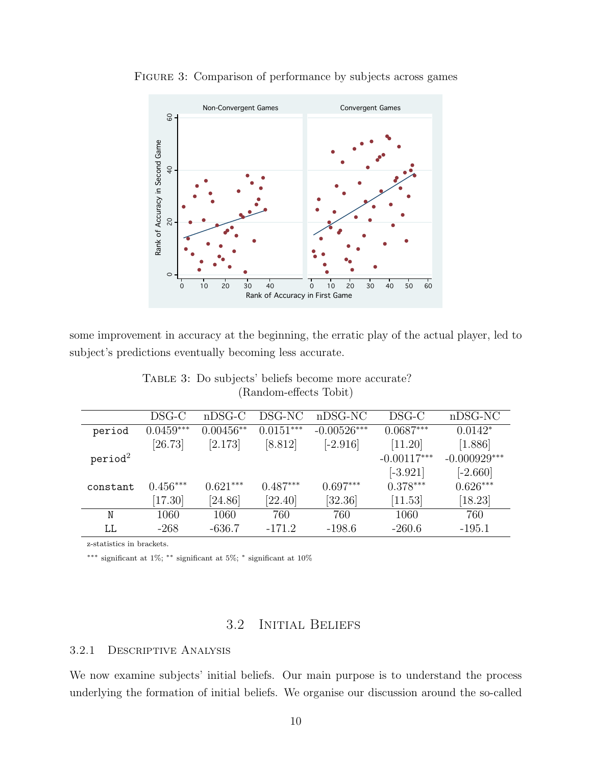

<span id="page-9-1"></span>Figure 3: Comparison of performance by subjects across games

<span id="page-9-2"></span>some improvement in accuracy at the beginning, the erratic play of the actual player, led to subject's predictions eventually becoming less accurate.

|                     | $DSG-C$     | $nDSG-C$    | DSG-NC      | $nDSG-NC$     | $DSG-C$       | $nDSG-NC$      |
|---------------------|-------------|-------------|-------------|---------------|---------------|----------------|
| period              | $0.0459***$ | $0.00456**$ | $0.0151***$ | $-0.00526***$ | $0.0687***$   | $0.0142*$      |
|                     | [26.73]     | [2.173]     | [8.812]     | $[-2.916]$    | [11.20]       | [1.886]        |
| period <sup>2</sup> |             |             |             |               | $-0.00117***$ | $-0.000929***$ |
|                     |             |             |             |               | $[-3.921]$    | $[-2.660]$     |
| constant            | $0.456***$  | $0.621***$  | $0.487***$  | $0.697***$    | $0.378***$    | $0.626***$     |
|                     | [17.30]     | [24.86]     | [22.40]     | $[32.36]$     | $[11.53]$     | [18.23]        |
| N                   | 1060        | 1060        | 760         | 760           | 1060          | 760            |
| LL                  | $-268$      | $-636.7$    | $-171.2$    | $-198.6$      | $-260.6$      | $-195.1$       |

Table 3: Do subjects' beliefs become more accurate? (Random-effects Tobit)

z-statistics in brackets.

∗∗∗ significant at 1%; ∗∗ significant at 5%; <sup>∗</sup> significant at 10%

### 3.2 Initial Beliefs

#### <span id="page-9-0"></span>3.2.1 Descriptive Analysis

We now examine subjects' initial beliefs. Our main purpose is to understand the process underlying the formation of initial beliefs. We organise our discussion around the so-called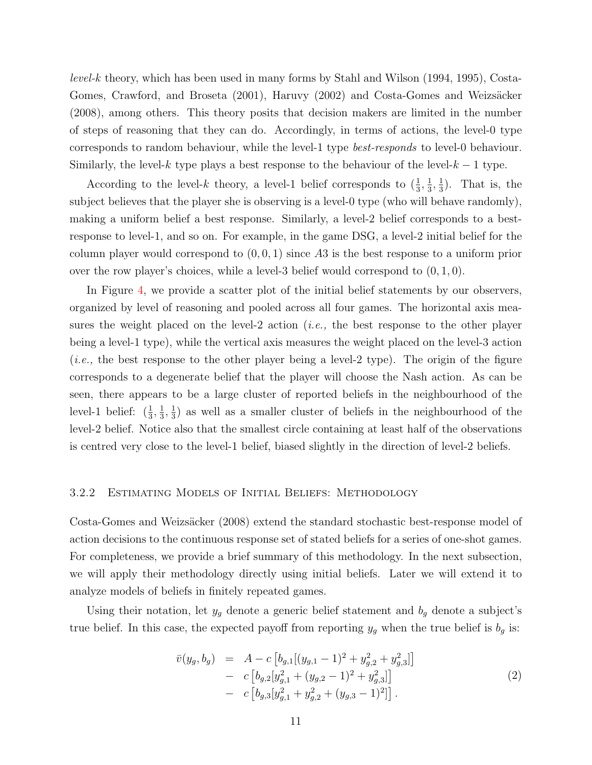level-k theory, which has been used in many forms by [Stahl and Wilson](#page-27-1) [\(1994,](#page-27-1) [1995\)](#page-27-2), [Costa-](#page-26-8)[Gomes, Crawford, and Broseta](#page-26-8) [\(2001\)](#page-26-8), [Haruvy](#page-26-2) [\(2002\)](#page-26-2) and Costa-Gomes and Weizsäcker [\(2008\)](#page-26-0), among others. This theory posits that decision makers are limited in the number of steps of reasoning that they can do. Accordingly, in terms of actions, the level-0 type corresponds to random behaviour, while the level-1 type best-responds to level-0 behaviour. Similarly, the level-k type plays a best response to the behaviour of the level- $k-1$  type.

According to the level-k theory, a level-1 belief corresponds to  $(\frac{1}{3}, \frac{1}{3})$  $\frac{1}{3}, \frac{1}{3}$  $\frac{1}{3}$ ). That is, the subject believes that the player she is observing is a level-0 type (who will behave randomly), making a uniform belief a best response. Similarly, a level-2 belief corresponds to a bestresponse to level-1, and so on. For example, in the game DSG, a level-2 initial belief for the column player would correspond to  $(0, 0, 1)$  since A3 is the best response to a uniform prior over the row player's choices, while a level-3 belief would correspond to  $(0, 1, 0)$ .

In Figure [4,](#page-11-0) we provide a scatter plot of the initial belief statements by our observers, organized by level of reasoning and pooled across all four games. The horizontal axis measures the weight placed on the level-2 action (*i.e.*, the best response to the other player being a level-1 type), while the vertical axis measures the weight placed on the level-3 action (i.e., the best response to the other player being a level-2 type). The origin of the figure corresponds to a degenerate belief that the player will choose the Nash action. As can be seen, there appears to be a large cluster of reported beliefs in the neighbourhood of the level-1 belief:  $\left(\frac{1}{3},\frac{1}{3}\right)$  $\frac{1}{3}, \frac{1}{3}$  $\frac{1}{3}$ ) as well as a smaller cluster of beliefs in the neighbourhood of the level-2 belief. Notice also that the smallest circle containing at least half of the observations is centred very close to the level-1 belief, biased slightly in the direction of level-2 beliefs.

#### 3.2.2 Estimating Models of Initial Beliefs: Methodology

Costa-Gomes and Weizsäcker [\(2008\)](#page-26-0) extend the standard stochastic best-response model of action decisions to the continuous response set of stated beliefs for a series of one-shot games. For completeness, we provide a brief summary of this methodology. In the next subsection, we will apply their methodology directly using initial beliefs. Later we will extend it to analyze models of beliefs in finitely repeated games.

Using their notation, let  $y_g$  denote a generic belief statement and  $b_g$  denote a subject's true belief. In this case, the expected payoff from reporting  $y_g$  when the true belief is  $b_g$  is:

$$
\bar{v}(y_g, b_g) = A - c \left[ b_{g,1} [(y_{g,1} - 1)^2 + y_{g,2}^2 + y_{g,3}^2] \right] \n- c \left[ b_{g,2} [y_{g,1}^2 + (y_{g,2} - 1)^2 + y_{g,3}^2] \right] \n- c \left[ b_{g,3} [y_{g,1}^2 + y_{g,2}^2 + (y_{g,3} - 1)^2] \right].
$$
\n(2)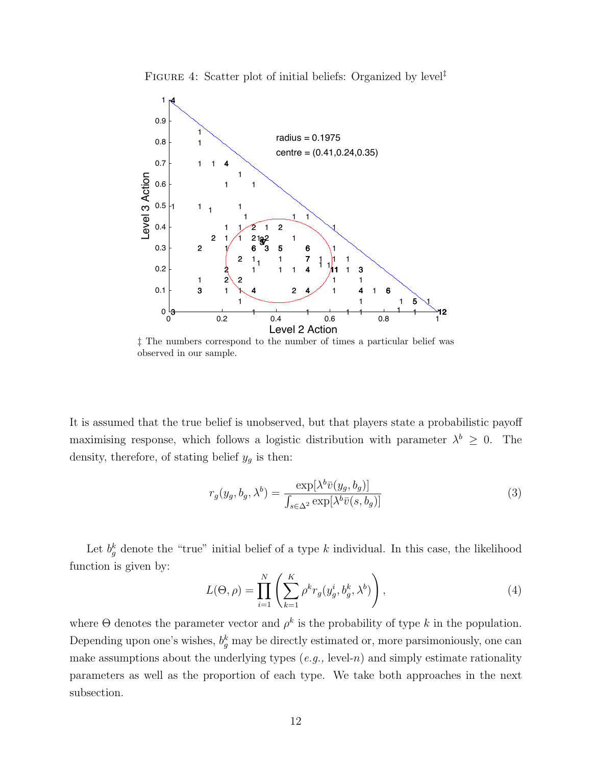

<span id="page-11-0"></span>FIGURE 4: Scatter plot of initial beliefs: Organized by level<sup>‡</sup>

‡ The numbers correspond to the number of times a particular belief was observed in our sample.

It is assumed that the true belief is unobserved, but that players state a probabilistic payoff maximising response, which follows a logistic distribution with parameter  $\lambda^b \geq 0$ . The density, therefore, of stating belief  $y_g$  is then:

<span id="page-11-1"></span>
$$
r_g(y_g, b_g, \lambda^b) = \frac{\exp[\lambda^b \bar{v}(y_g, b_g)]}{\int_{s \in \Delta^2} \exp[\lambda^b \bar{v}(s, b_g)]}
$$
(3)

Let  $b_g^k$  denote the "true" initial belief of a type k individual. In this case, the likelihood function is given by:

$$
L(\Theta, \rho) = \prod_{i=1}^{N} \left( \sum_{k=1}^{K} \rho^k r_g(y_g^i, b_g^k, \lambda^b) \right), \qquad (4)
$$

where  $\Theta$  denotes the parameter vector and  $\rho^k$  is the probability of type k in the population. Depending upon one's wishes,  $b_g^k$  may be directly estimated or, more parsimoniously, one can make assumptions about the underlying types  $(e.g., level-n)$  and simply estimate rationality parameters as well as the proportion of each type. We take both approaches in the next subsection.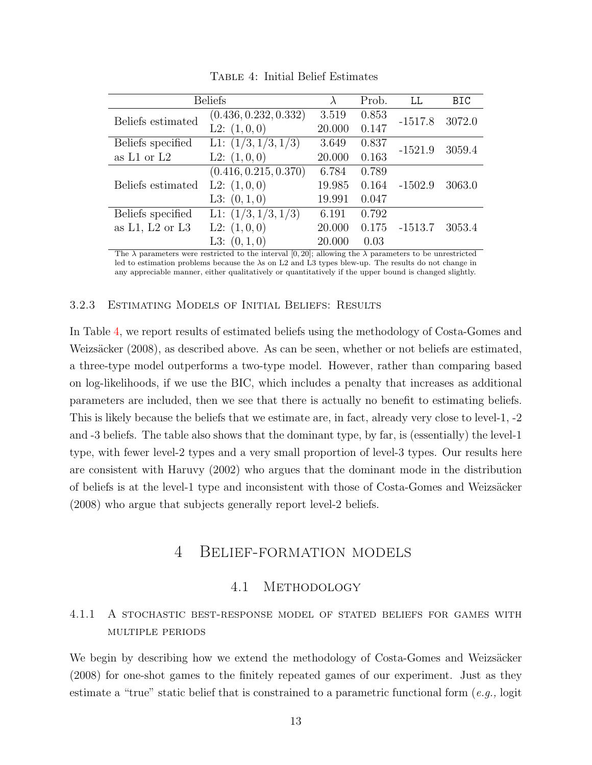<span id="page-12-1"></span>

| <b>Beliefs</b>         |                       | $\lambda$ | Prob. | LL        | <b>BIC</b> |
|------------------------|-----------------------|-----------|-------|-----------|------------|
| Beliefs estimated      | (0.436, 0.232, 0.332) | 3.519     | 0.853 | $-1517.8$ | 3072.0     |
|                        | L2: $(1,0,0)$         | 20.000    | 0.147 |           |            |
| Beliefs specified      | L1: $(1/3, 1/3, 1/3)$ | 3.649     | 0.837 | $-1521.9$ | 3059.4     |
| as $L1$ or $L2$        | L2: $(1,0,0)$         | 20.000    | 0.163 |           |            |
|                        | (0.416, 0.215, 0.370) | 6.784     | 0.789 |           |            |
| Beliefs estimated      | L2: $(1,0,0)$         | 19.985    | 0.164 | $-1502.9$ | 3063.0     |
|                        | L3: $(0, 1, 0)$       | 19.991    | 0.047 |           |            |
| Beliefs specified      | L1: $(1/3, 1/3, 1/3)$ | 6.191     | 0.792 |           |            |
| as $L1$ , $L2$ or $L3$ | L2: $(1,0,0)$         | 20.000    | 0.175 | $-1513.7$ | 3053.4     |
|                        | L3: $(0, 1, 0)$       | 20.000    | 0.03  |           |            |

TABLE 4: Initial Belief Estimates

The  $\lambda$  parameters were restricted to the interval [0, 20]; allowing the  $\lambda$  parameters to be unrestricted led to estimation problems because the λs on L2 and L3 types blew-up. The results do not change in any appreciable manner, either qualitatively or quantitatively if the upper bound is changed slightly.

#### 3.2.3 Estimating Models of Initial Beliefs: Results

In Table [4,](#page-12-1) we report results of estimated beliefs using the methodology of [Costa-Gomes and](#page-26-0) Weizsäcker [\(2008\)](#page-26-0), as described above. As can be seen, whether or not beliefs are estimated, a three-type model outperforms a two-type model. However, rather than comparing based on log-likelihoods, if we use the BIC, which includes a penalty that increases as additional parameters are included, then we see that there is actually no benefit to estimating beliefs. This is likely because the beliefs that we estimate are, in fact, already very close to level-1, -2 and -3 beliefs. The table also shows that the dominant type, by far, is (essentially) the level-1 type, with fewer level-2 types and a very small proportion of level-3 types. Our results here are consistent with [Haruvy](#page-26-2) [\(2002\)](#page-26-2) who argues that the dominant mode in the distribution of beliefs is at the level-1 type and inconsistent with those of Costa-Gomes and Weizsäcker [\(2008\)](#page-26-0) who argue that subjects generally report level-2 beliefs.

### 4 Belief-formation models

### 4.1 METHODOLOGY

### <span id="page-12-2"></span><span id="page-12-0"></span>4.1.1 A stochastic best-response model of stated beliefs for games with multiple periods

We begin by describing how we extend the methodology of Costa-Gomes and Weizsäcker [\(2008\)](#page-26-0) for one-shot games to the finitely repeated games of our experiment. Just as they estimate a "true" static belief that is constrained to a parametric functional form  $(e.g.,$  logit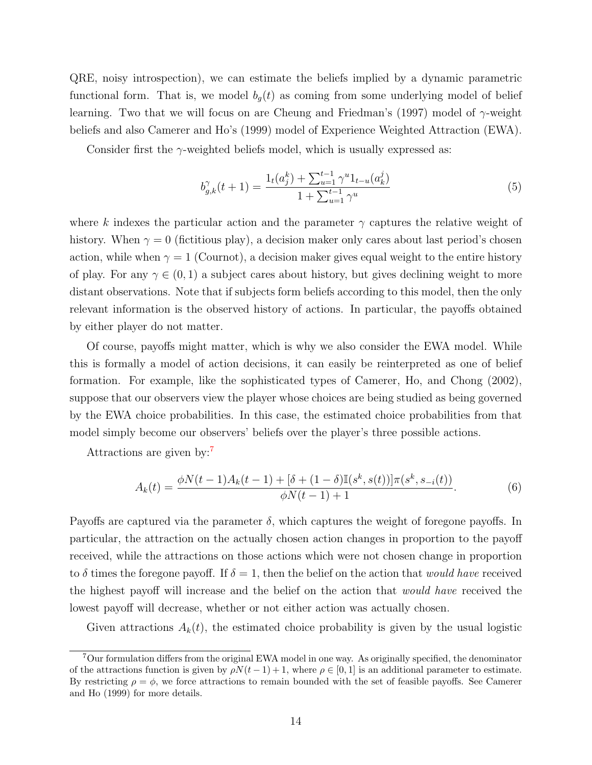QRE, noisy introspection), we can estimate the beliefs implied by a dynamic parametric functional form. That is, we model  $b_q(t)$  as coming from some underlying model of belief learning. Two that we will focus on are [Cheung and Friedman'](#page-26-1)s (1997) model of  $\gamma$ -weight beliefs and also [Camerer and Ho'](#page-26-9)s (1999) model of Experience Weighted Attraction (EWA).

Consider first the  $\gamma$ -weighted beliefs model, which is usually expressed as:

<span id="page-13-1"></span>
$$
b_{g,k}^{\gamma}(t+1) = \frac{1_t(a_j^k) + \sum_{u=1}^{t-1} \gamma^u 1_{t-u}(a_k^j)}{1 + \sum_{u=1}^{t-1} \gamma^u}
$$
(5)

where k indexes the particular action and the parameter  $\gamma$  captures the relative weight of history. When  $\gamma = 0$  (fictitious play), a decision maker only cares about last period's chosen action, while when  $\gamma = 1$  (Cournot), a decision maker gives equal weight to the entire history of play. For any  $\gamma \in (0, 1)$  a subject cares about history, but gives declining weight to more distant observations. Note that if subjects form beliefs according to this model, then the only relevant information is the observed history of actions. In particular, the payoffs obtained by either player do not matter.

Of course, payoffs might matter, which is why we also consider the EWA model. While this is formally a model of action decisions, it can easily be reinterpreted as one of belief formation. For example, like the sophisticated types of [Camerer, Ho, and Chong](#page-26-10) [\(2002\)](#page-26-10), suppose that our observers view the player whose choices are being studied as being governed by the EWA choice probabilities. In this case, the estimated choice probabilities from that model simply become our observers' beliefs over the player's three possible actions.

Attractions are given by:[7](#page-13-0)

<span id="page-13-2"></span>
$$
A_k(t) = \frac{\phi N(t-1)A_k(t-1) + [\delta + (1-\delta)\mathbb{I}(s^k, s(t))] \pi(s^k, s_{-i}(t))}{\phi N(t-1) + 1}.
$$
 (6)

Payoffs are captured via the parameter  $\delta$ , which captures the weight of foregone payoffs. In particular, the attraction on the actually chosen action changes in proportion to the payoff received, while the attractions on those actions which were not chosen change in proportion to  $\delta$  times the foregone payoff. If  $\delta = 1$ , then the belief on the action that would have received the highest payoff will increase and the belief on the action that would have received the lowest payoff will decrease, whether or not either action was actually chosen.

Given attractions  $A_k(t)$ , the estimated choice probability is given by the usual logistic

<span id="page-13-0"></span><sup>7</sup>Our formulation differs from the original EWA model in one way. As originally specified, the denominator of the attractions function is given by  $\rho N(t-1) + 1$ , where  $\rho \in [0,1]$  is an additional parameter to estimate. By restricting  $\rho = \phi$ , we force attractions to remain bounded with the set of feasible payoffs. See [Camerer](#page-26-9) [and Ho](#page-26-9) [\(1999\)](#page-26-9) for more details.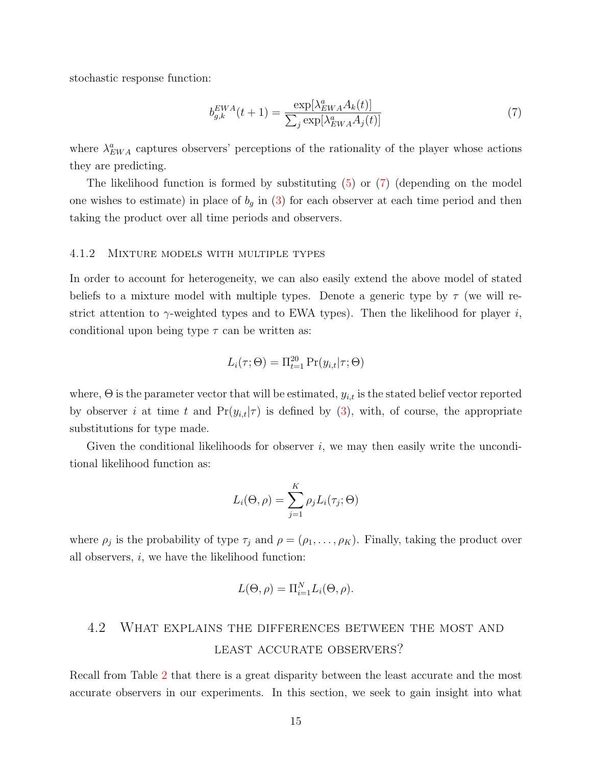stochastic response function:

<span id="page-14-0"></span>
$$
b_{g,k}^{EWA}(t+1) = \frac{\exp[\lambda_{EWA}^a A_k(t)]}{\sum_j \exp[\lambda_{EWA}^a A_j(t)]}
$$
\n<sup>(7)</sup>

where  $\lambda_{EWA}^a$  captures observers' perceptions of the rationality of the player whose actions they are predicting.

The likelihood function is formed by substituting [\(5\)](#page-13-1) or [\(7\)](#page-14-0) (depending on the model one wishes to estimate) in place of  $b<sub>g</sub>$  in [\(3\)](#page-11-1) for each observer at each time period and then taking the product over all time periods and observers.

#### 4.1.2 Mixture models with multiple types

In order to account for heterogeneity, we can also easily extend the above model of stated beliefs to a mixture model with multiple types. Denote a generic type by  $\tau$  (we will restrict attention to  $\gamma$ -weighted types and to EWA types). Then the likelihood for player i, conditional upon being type  $\tau$  can be written as:

$$
L_i(\tau; \Theta) = \Pi_{t=1}^{20} \Pr(y_{i,t} | \tau; \Theta)
$$

where,  $\Theta$  is the parameter vector that will be estimated,  $y_{i,t}$  is the stated belief vector reported by observer i at time t and  $Pr(y_{i,t}|\tau)$  is defined by [\(3\)](#page-11-1), with, of course, the appropriate substitutions for type made.

Given the conditional likelihoods for observer  $i$ , we may then easily write the unconditional likelihood function as:

$$
L_i(\Theta, \rho) = \sum_{j=1}^K \rho_j L_i(\tau_j; \Theta)
$$

where  $\rho_j$  is the probability of type  $\tau_j$  and  $\rho = (\rho_1, \ldots, \rho_K)$ . Finally, taking the product over all observers,  $i$ , we have the likelihood function:

$$
L(\Theta, \rho) = \Pi_{i=1}^{N} L_i(\Theta, \rho).
$$

# 4.2 What explains the differences between the most and LEAST ACCURATE OBSERVERS?

Recall from Table [2](#page-7-0) that there is a great disparity between the least accurate and the most accurate observers in our experiments. In this section, we seek to gain insight into what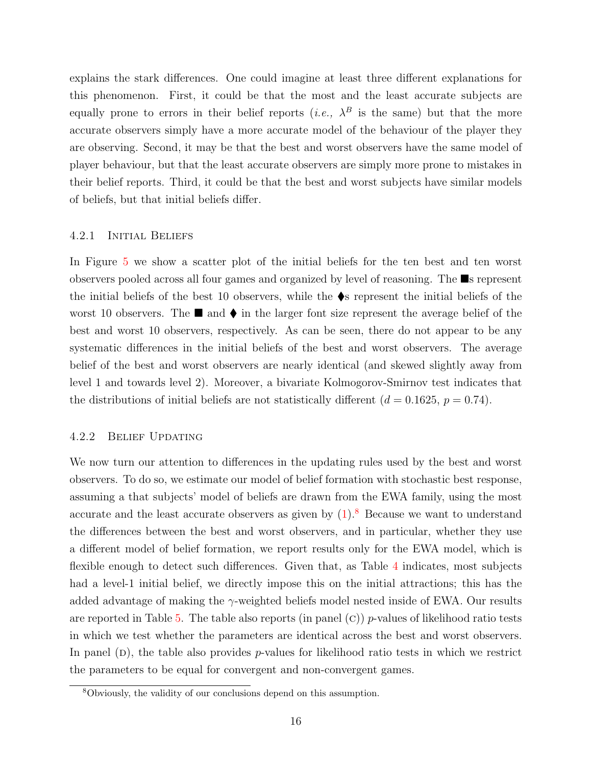explains the stark differences. One could imagine at least three different explanations for this phenomenon. First, it could be that the most and the least accurate subjects are equally prone to errors in their belief reports (*i.e.*,  $\lambda^B$  is the same) but that the more accurate observers simply have a more accurate model of the behaviour of the player they are observing. Second, it may be that the best and worst observers have the same model of player behaviour, but that the least accurate observers are simply more prone to mistakes in their belief reports. Third, it could be that the best and worst subjects have similar models of beliefs, but that initial beliefs differ.

#### 4.2.1 Initial Beliefs

In Figure [5](#page-16-0) we show a scatter plot of the initial beliefs for the ten best and ten worst observers pooled across all four games and organized by level of reasoning. The  $\blacksquare$ s represent the initial beliefs of the best 10 observers, while the  $\bullet$ s represent the initial beliefs of the worst 10 observers. The  $\blacksquare$  and  $\blacklozenge$  in the larger font size represent the average belief of the best and worst 10 observers, respectively. As can be seen, there do not appear to be any systematic differences in the initial beliefs of the best and worst observers. The average belief of the best and worst observers are nearly identical (and skewed slightly away from level 1 and towards level 2). Moreover, a bivariate Kolmogorov-Smirnov test indicates that the distributions of initial beliefs are not statistically different  $(d = 0.1625, p = 0.74)$ .

#### 4.2.2 Belief Updating

We now turn our attention to differences in the updating rules used by the best and worst observers. To do so, we estimate our model of belief formation with stochastic best response, assuming a that subjects' model of beliefs are drawn from the EWA family, using the most accurate and the least accurate observers as given by  $(1)$ .<sup>[8](#page-15-0)</sup> Because we want to understand the differences between the best and worst observers, and in particular, whether they use a different model of belief formation, we report results only for the EWA model, which is flexible enough to detect such differences. Given that, as Table [4](#page-12-1) indicates, most subjects had a level-1 initial belief, we directly impose this on the initial attractions; this has the added advantage of making the  $\gamma$ -weighted beliefs model nested inside of EWA. Our results are reported in Table [5.](#page-17-0) The table also reports (in panel  $(C)$ ) p-values of likelihood ratio tests in which we test whether the parameters are identical across the best and worst observers. In panel  $(D)$ , the table also provides p-values for likelihood ratio tests in which we restrict the parameters to be equal for convergent and non-convergent games.

<span id="page-15-0"></span><sup>8</sup>Obviously, the validity of our conclusions depend on this assumption.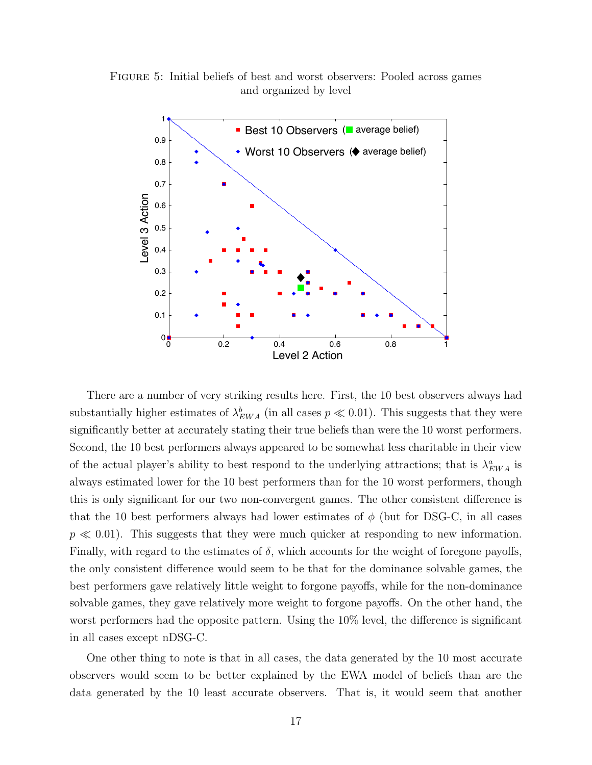<span id="page-16-0"></span>Figure 5: Initial beliefs of best and worst observers: Pooled across games and organized by level



Finally, with regard to the estimates of  $\delta$ , which accounts for the weight of foregone payoffs, There are a number of very striking results here. First, the 10 best observers always had substantially higher estimates of  $\lambda_{EWA}^{b}$  (in all cases  $p \ll 0.01$ ). This suggests that they were significantly better at accurately stating their true beliefs than were the 10 worst performers. Second, the 10 best performers always appeared to be somewhat less charitable in their view of the actual player's ability to best respond to the underlying attractions; that is  $\lambda_{EWA}^a$  is always estimated lower for the 10 best performers than for the 10 worst performers, though this is only significant for our two non-convergent games. The other consistent difference is that the 10 best performers always had lower estimates of  $\phi$  (but for DSG-C, in all cases  $p \ll 0.01$ . This suggests that they were much quicker at responding to new information. the only consistent difference would seem to be that for the dominance solvable games, the best performers gave relatively little weight to forgone payoffs, while for the non-dominance solvable games, they gave relatively more weight to forgone payoffs. On the other hand, the worst performers had the opposite pattern. Using the 10% level, the difference is significant in all cases except nDSG-C.

One other thing to note is that in all cases, the data generated by the 10 most accurate observers would seem to be better explained by the EWA model of beliefs than are the data generated by the 10 least accurate observers. That is, it would seem that another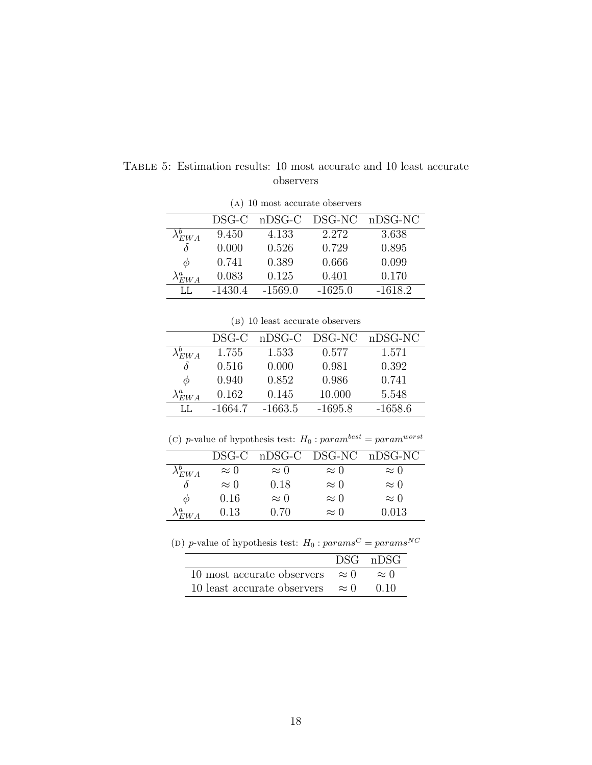| (A) 10 most accurate observers |           |           |           |           |  |
|--------------------------------|-----------|-----------|-----------|-----------|--|
|                                | DSG-C     | $nDSG-C$  | DSG-NC    | $nDSG-NC$ |  |
| EWA                            | 9.450     | 4.133     | 2.272     | 3.638     |  |
|                                | 0.000     | 0.526     | 0.729     | 0.895     |  |
| Ф                              | 0.741     | 0.389     | 0.666     | 0.099     |  |
| EWA                            | 0.083     | 0.125     | 0.401     | 0.170     |  |
| LL.                            | $-1430.4$ | $-1569.0$ | $-1625.0$ | $-1618.2$ |  |

<span id="page-17-0"></span>Table 5: Estimation results: 10 most accurate and 10 least accurate observers

(b) 10 least accurate observers

| DSG-NC<br>$nDSG-NC$    |
|------------------------|
| 0.577<br>1.571         |
| 0.392<br>0.981         |
| 0.741<br>0.986         |
| 10.000<br>5.548        |
| $-1695.8$<br>$-1658.6$ |
|                        |

(c) *p*-value of hypothesis test:  $H_0: param<sup>best</sup> = param<sup>worst</sup>$ 

|                 | DSG-C        | $nDSG-C$     | DSG-NC       | $nDSG-NC$    |
|-----------------|--------------|--------------|--------------|--------------|
| $\Lambda_{EWA}$ | $\approx$ () | $\approx 0$  | $\approx$ () | $\approx$ () |
|                 | $\approx$ 0  | 0.18         | $\approx$ () | $\approx$ () |
| $\varnothing$   | 0.16         | $\approx$ () | $\approx$ () | $\approx 0$  |
| $\Lambda_{EWA}$ | 0.13         | 0.70         | $\approx$ () | 0.013        |

(D) *p*-value of hypothesis test:  $H_0:params^C = params^{NC}$ 

|                                         | DSG nDSG    |
|-----------------------------------------|-------------|
| 10 most accurate observers $\approx 0$  | $\approx$ 0 |
| 10 least accurate observers $\approx 0$ | -0.10       |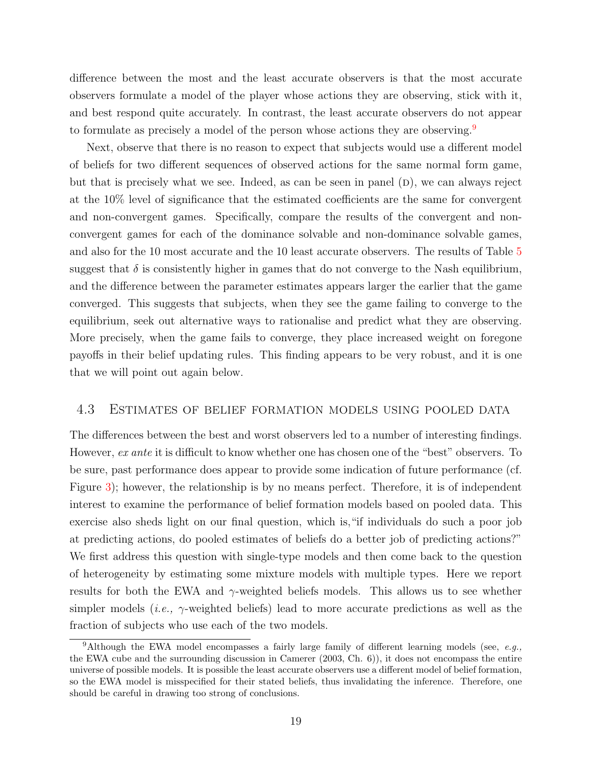difference between the most and the least accurate observers is that the most accurate observers formulate a model of the player whose actions they are observing, stick with it, and best respond quite accurately. In contrast, the least accurate observers do not appear to formulate as precisely a model of the person whose actions they are observing.<sup>[9](#page-18-0)</sup>

Next, observe that there is no reason to expect that subjects would use a different model of beliefs for two different sequences of observed actions for the same normal form game, but that is precisely what we see. Indeed, as can be seen in panel (D), we can always reject at the 10% level of significance that the estimated coefficients are the same for convergent and non-convergent games. Specifically, compare the results of the convergent and nonconvergent games for each of the dominance solvable and non-dominance solvable games, and also for the 10 most accurate and the 10 least accurate observers. The results of Table [5](#page-17-0) suggest that  $\delta$  is consistently higher in games that do not converge to the Nash equilibrium, and the difference between the parameter estimates appears larger the earlier that the game converged. This suggests that subjects, when they see the game failing to converge to the equilibrium, seek out alternative ways to rationalise and predict what they are observing. More precisely, when the game fails to converge, they place increased weight on foregone payoffs in their belief updating rules. This finding appears to be very robust, and it is one that we will point out again below.

#### 4.3 Estimates of belief formation models using pooled data

The differences between the best and worst observers led to a number of interesting findings. However, ex ante it is difficult to know whether one has chosen one of the "best" observers. To be sure, past performance does appear to provide some indication of future performance (cf. Figure [3\)](#page-9-1); however, the relationship is by no means perfect. Therefore, it is of independent interest to examine the performance of belief formation models based on pooled data. This exercise also sheds light on our final question, which is,"if individuals do such a poor job at predicting actions, do pooled estimates of beliefs do a better job of predicting actions?" We first address this question with single-type models and then come back to the question of heterogeneity by estimating some mixture models with multiple types. Here we report results for both the EWA and  $\gamma$ -weighted beliefs models. This allows us to see whether simpler models (*i.e.*,  $\gamma$ -weighted beliefs) lead to more accurate predictions as well as the fraction of subjects who use each of the two models.

<span id="page-18-0"></span><sup>&</sup>lt;sup>9</sup>Although the EWA model encompasses a fairly large family of different learning models (see, e.g., the EWA cube and the surrounding discussion in [Camerer](#page-26-11) [\(2003,](#page-26-11) Ch. 6)), it does not encompass the entire universe of possible models. It is possible the least accurate observers use a different model of belief formation, so the EWA model is misspecified for their stated beliefs, thus invalidating the inference. Therefore, one should be careful in drawing too strong of conclusions.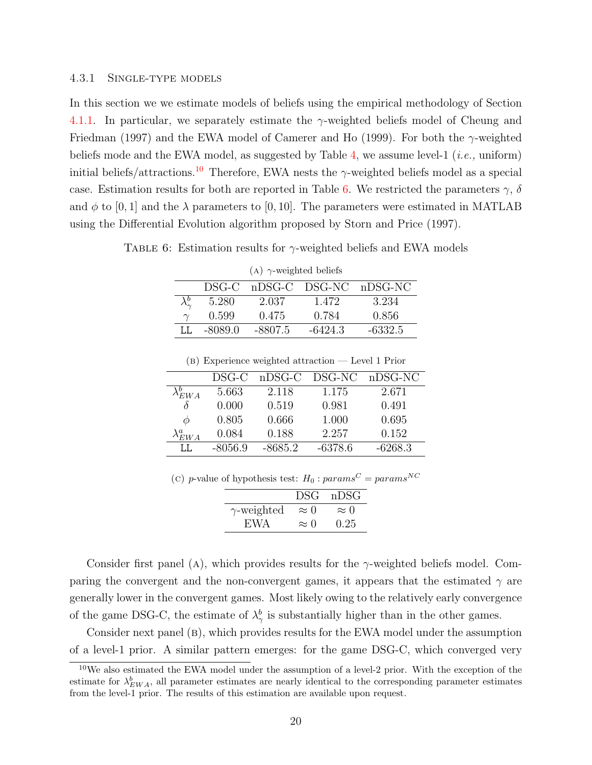#### 4.3.1 Single-type models

In this section we we estimate models of beliefs using the empirical methodology of Section [4.1.1.](#page-12-2) In particular, we separately estimate the γ-weighted beliefs model of [Cheung and](#page-26-1) [Friedman](#page-26-1) [\(1997\)](#page-26-1) and the EWA model of [Camerer and Ho](#page-26-9) [\(1999\)](#page-26-9). For both the γ-weighted beliefs mode and the EWA model, as suggested by Table [4,](#page-12-1) we assume level-1 (*i.e.*, uniform) initial beliefs/attractions.<sup>[10](#page-19-0)</sup> Therefore, EWA nests the  $\gamma$ -weighted beliefs model as a special case. Estimation results for both are reported in Table [6.](#page-19-1) We restricted the parameters  $\gamma$ ,  $\delta$ and  $\phi$  to [0, 1] and the  $\lambda$  parameters to [0, 10]. The parameters were estimated in MATLAB using the Differential Evolution algorithm proposed by [Storn and Price](#page-27-3) [\(1997\)](#page-27-3).

<span id="page-19-1"></span>TABLE 6: Estimation results for  $\gamma$ -weighted beliefs and EWA models

|             |         | (A) $\gamma$ -weighted beliefs |           |                       |
|-------------|---------|--------------------------------|-----------|-----------------------|
|             | DSG-C   |                                |           | nDSG-C DSG-NC nDSG-NC |
| $\lambda^b$ | 5.280   | 2.037                          | 1.472     | 3.234                 |
|             | 0.599   | 0.475                          | 0.784     | 0.856                 |
| LL.         | -8089.0 | $-8807.5$                      | $-6424.3$ | -6332.5               |

| $(B)$ Experience weighted attraction — Level 1 Prior |
|------------------------------------------------------|
|------------------------------------------------------|

|                     | DSG-C     | $nDSG-C$ | DSG-NC    | $nDSG-NC$ |
|---------------------|-----------|----------|-----------|-----------|
| $V_{EWA}$           | 5.663     | 2.118    | 1.175     | 2.671     |
|                     | 0.000     | 0.519    | 0.981     | 0.491     |
| Ф                   | 0.805     | 0.666    | 1.000     | 0.695     |
| $\lambda_{EWA}^{a}$ | 0.084     | 0.188    | 2.257     | 0.152     |
|                     | $-8056.9$ | -8685.2  | $-6378.6$ | $-6268.3$ |

(c) p-value of hypothesis test:  $H_0:params^C = params^{NC}$ 

|                    | DSG          | nDSG         |
|--------------------|--------------|--------------|
| $\gamma$ -weighted | $\approx 0$  | $\approx$ () |
| EWA                | $\approx$ () | 0.25         |

Consider first panel (A), which provides results for the  $\gamma$ -weighted beliefs model. Comparing the convergent and the non-convergent games, it appears that the estimated  $\gamma$  are generally lower in the convergent games. Most likely owing to the relatively early convergence of the game DSG-C, the estimate of  $\lambda_{\gamma}^{b}$  is substantially higher than in the other games.

Consider next panel (B), which provides results for the EWA model under the assumption of a level-1 prior. A similar pattern emerges: for the game DSG-C, which converged very

<span id="page-19-0"></span> $10$ We also estimated the EWA model under the assumption of a level-2 prior. With the exception of the estimate for  $\lambda_{EWA}^{b}$ , all parameter estimates are nearly identical to the corresponding parameter estimates from the level-1 prior. The results of this estimation are available upon request.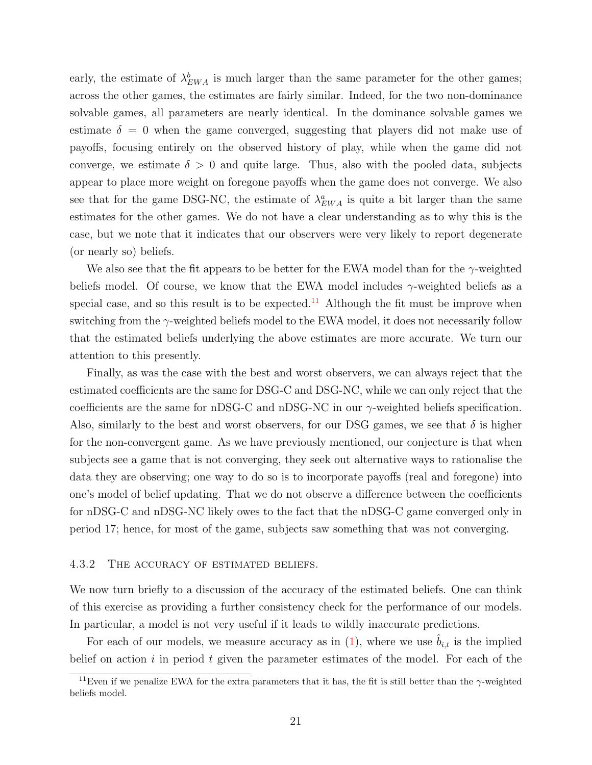early, the estimate of  $\lambda_{EWA}^{b}$  is much larger than the same parameter for the other games; across the other games, the estimates are fairly similar. Indeed, for the two non-dominance solvable games, all parameters are nearly identical. In the dominance solvable games we estimate  $\delta = 0$  when the game converged, suggesting that players did not make use of payoffs, focusing entirely on the observed history of play, while when the game did not converge, we estimate  $\delta > 0$  and quite large. Thus, also with the pooled data, subjects appear to place more weight on foregone payoffs when the game does not converge. We also see that for the game DSG-NC, the estimate of  $\lambda_{EWA}^a$  is quite a bit larger than the same estimates for the other games. We do not have a clear understanding as to why this is the case, but we note that it indicates that our observers were very likely to report degenerate (or nearly so) beliefs.

We also see that the fit appears to be better for the EWA model than for the γ-weighted beliefs model. Of course, we know that the EWA model includes  $\gamma$ -weighted beliefs as a special case, and so this result is to be expected.<sup>[11](#page-20-0)</sup> Although the fit must be improve when switching from the  $\gamma$ -weighted beliefs model to the EWA model, it does not necessarily follow that the estimated beliefs underlying the above estimates are more accurate. We turn our attention to this presently.

Finally, as was the case with the best and worst observers, we can always reject that the estimated coefficients are the same for DSG-C and DSG-NC, while we can only reject that the coefficients are the same for nDSG-C and nDSG-NC in our  $\gamma$ -weighted beliefs specification. Also, similarly to the best and worst observers, for our DSG games, we see that  $\delta$  is higher for the non-convergent game. As we have previously mentioned, our conjecture is that when subjects see a game that is not converging, they seek out alternative ways to rationalise the data they are observing; one way to do so is to incorporate payoffs (real and foregone) into one's model of belief updating. That we do not observe a difference between the coefficients for nDSG-C and nDSG-NC likely owes to the fact that the nDSG-C game converged only in period 17; hence, for most of the game, subjects saw something that was not converging.

#### 4.3.2 The accuracy of estimated beliefs.

We now turn briefly to a discussion of the accuracy of the estimated beliefs. One can think of this exercise as providing a further consistency check for the performance of our models. In particular, a model is not very useful if it leads to wildly inaccurate predictions.

For each of our models, we measure accuracy as in [\(1\)](#page-5-3), where we use  $\hat{b}_{i,t}$  is the implied belief on action  $i$  in period  $t$  given the parameter estimates of the model. For each of the

<span id="page-20-0"></span><sup>&</sup>lt;sup>11</sup>Even if we penalize EWA for the extra parameters that it has, the fit is still better than the  $\gamma$ -weighted beliefs model.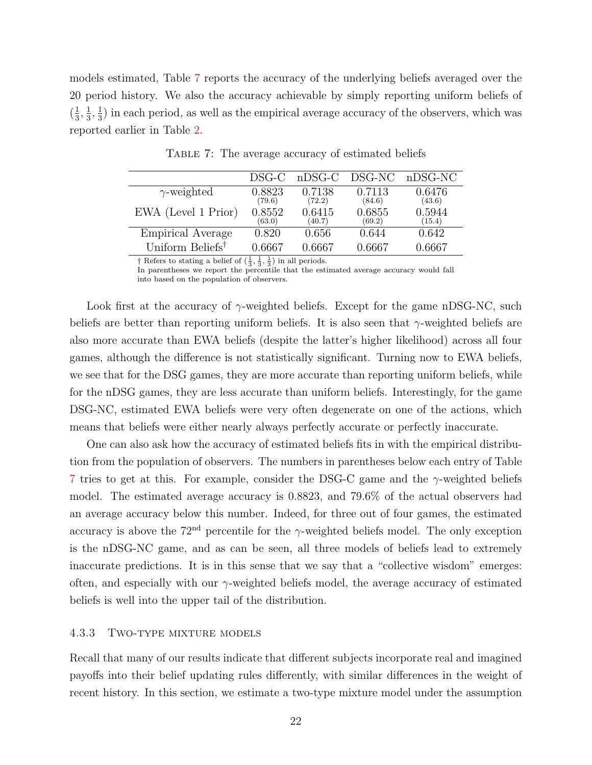<span id="page-21-0"></span>models estimated, Table [7](#page-21-0) reports the accuracy of the underlying beliefs averaged over the 20 period history. We also the accuracy achievable by simply reporting uniform beliefs of  $\left(\frac{1}{3}\right)$  $\frac{1}{3}, \frac{1}{3}$  $\frac{1}{3}, \frac{1}{3}$  $\frac{1}{3}$ ) in each period, as well as the empirical average accuracy of the observers, which was reported earlier in Table [2.](#page-7-0)

|                              | DSG-C            | $nDSG-C$         | DSG-NC           | $nDSG-NC$        |
|------------------------------|------------------|------------------|------------------|------------------|
| $\gamma$ -weighted           | 0.8823<br>(79.6) | 0.7138<br>(72.2) | 0.7113<br>(84.6) | 0.6476<br>(43.6) |
| EWA (Level 1 Prior)          | 0.8552<br>(63.0) | 0.6415<br>(40.7) | 0.6855<br>(69.2) | 0.5944<br>(15.4) |
| <b>Empirical Average</b>     | 0.820            | 0.656            | 0.644            | 0.642            |
| Uniform Beliefs <sup>†</sup> | Ი 6667           | 0.6667           | 0.6667           | 0.6667           |

Table 7: The average accuracy of estimated beliefs

<sup>†</sup> Refers to stating a belief of  $(\frac{1}{3}, \frac{1}{3}, \frac{1}{3})$  in all periods.

In parentheses we report the percentile that the estimated average accuracy would fall into based on the population of observers.

Look first at the accuracy of  $\gamma$ -weighted beliefs. Except for the game nDSG-NC, such beliefs are better than reporting uniform beliefs. It is also seen that  $\gamma$ -weighted beliefs are also more accurate than EWA beliefs (despite the latter's higher likelihood) across all four games, although the difference is not statistically significant. Turning now to EWA beliefs, we see that for the DSG games, they are more accurate than reporting uniform beliefs, while for the nDSG games, they are less accurate than uniform beliefs. Interestingly, for the game DSG-NC, estimated EWA beliefs were very often degenerate on one of the actions, which means that beliefs were either nearly always perfectly accurate or perfectly inaccurate.

One can also ask how the accuracy of estimated beliefs fits in with the empirical distribution from the population of observers. The numbers in parentheses below each entry of Table [7](#page-21-0) tries to get at this. For example, consider the DSG-C game and the  $\gamma$ -weighted beliefs model. The estimated average accuracy is 0.8823, and 79.6% of the actual observers had an average accuracy below this number. Indeed, for three out of four games, the estimated accuracy is above the  $72<sup>nd</sup>$  percentile for the  $\gamma$ -weighted beliefs model. The only exception is the nDSG-NC game, and as can be seen, all three models of beliefs lead to extremely inaccurate predictions. It is in this sense that we say that a "collective wisdom" emerges: often, and especially with our  $\gamma$ -weighted beliefs model, the average accuracy of estimated beliefs is well into the upper tail of the distribution.

#### 4.3.3 Two-type mixture models

Recall that many of our results indicate that different subjects incorporate real and imagined payoffs into their belief updating rules differently, with similar differences in the weight of recent history. In this section, we estimate a two-type mixture model under the assumption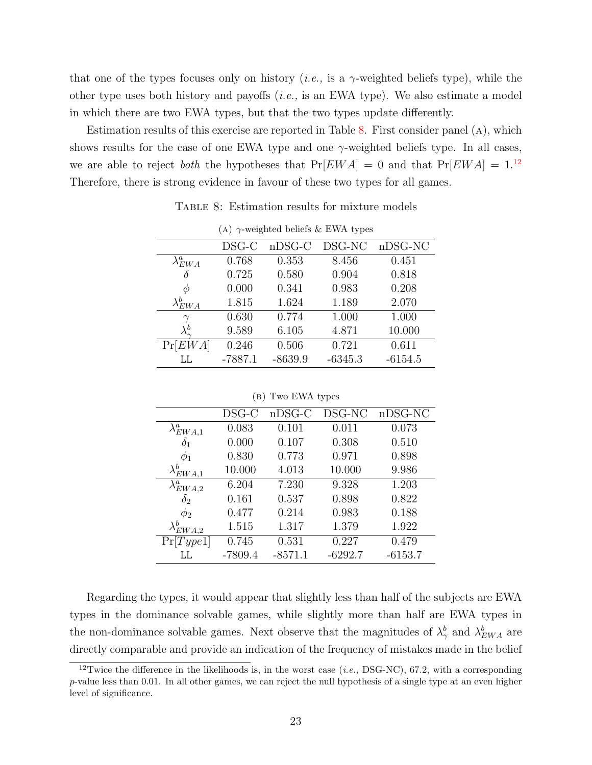that one of the types focuses only on history (*i.e.*, is a  $\gamma$ -weighted beliefs type), while the other type uses both history and payoffs  $(i.e.,$  is an EWA type). We also estimate a model in which there are two EWA types, but that the two types update differently.

<span id="page-22-0"></span>Estimation results of this exercise are reported in Table [8.](#page-22-0) First consider panel (a), which shows results for the case of one EWA type and one  $\gamma$ -weighted beliefs type. In all cases, we are able to reject *both* the hypotheses that  $Pr[EWA] = 0$  and that  $Pr[EWA] = 1.12$  $Pr[EWA] = 1.12$ Therefore, there is strong evidence in favour of these two types for all games.

| (A) $\gamma$ -weighted beliefs & EWA types |           |           |           |           |
|--------------------------------------------|-----------|-----------|-----------|-----------|
|                                            | $DSG-C$   | $nDSG-C$  | DSG-NC    | $nDSG-NC$ |
| $\lambda_{EWA}^a$                          | 0.768     | 0.353     | 8.456     | 0.451     |
| δ                                          | 0.725     | 0.580     | 0.904     | 0.818     |
| $\phi$                                     | 0.000     | 0.341     | 0.983     | 0.208     |
| $\lambda_{EWA}^{b}$                        | 1.815     | 1.624     | 1.189     | 2.070     |
|                                            | 0.630     | 0.774     | 1.000     | 1.000     |
| $\lambda_{\circ}^{b}$                      | 9.589     | 6.105     | 4.871     | 10.000    |
| Pr[EWA]                                    | 0.246     | 0.506     | 0.721     | 0.611     |
| LL.                                        | $-7887.1$ | $-8639.9$ | $-6345.3$ | $-6154.5$ |

Table 8: Estimation results for mixture models

#### (b) Two EWA types

|                                   | $DSG-C$   | $nDSG-C$  | DSG-NC    | $nDSG-NC$ |
|-----------------------------------|-----------|-----------|-----------|-----------|
| $\lambda_{EWA,1}^a$               | 0.083     | 0.101     | 0.011     | 0.073     |
| $\delta_1$                        | 0.000     | 0.107     | 0.308     | 0.510     |
| $\phi_1$                          | 0.830     | 0.773     | 0.971     | 0.898     |
| EWA.1                             | 10.000    | 4.013     | 10.000    | 9.986     |
| $\lambda_{EWA,2}^{a}$             | 6.204     | 7.230     | 9.328     | 1.203     |
| $\delta_2$                        | 0.161     | 0.537     | 0.898     | 0.822     |
| $\phi_2$                          | 0.477     | 0.214     | 0.983     | 0.188     |
| $\lambda_{E\underline{W}A,2}^{b}$ | 1.515     | 1.317     | 1.379     | 1.922     |
| Pr[Type1]                         | 0.745     | 0.531     | 0.227     | 0.479     |
| LL                                | $-7809.4$ | $-8571.1$ | $-6292.7$ | $-6153.7$ |

Regarding the types, it would appear that slightly less than half of the subjects are EWA types in the dominance solvable games, while slightly more than half are EWA types in the non-dominance solvable games. Next observe that the magnitudes of  $\lambda_{\gamma}^{b}$  and  $\lambda_{EWA}^{b}$  are directly comparable and provide an indication of the frequency of mistakes made in the belief

<span id="page-22-1"></span><sup>&</sup>lt;sup>12</sup>Twice the difference in the likelihoods is, in the worst case (*i.e.*, DSG-NC), 67.2, with a corresponding p-value less than 0.01. In all other games, we can reject the null hypothesis of a single type at an even higher level of significance.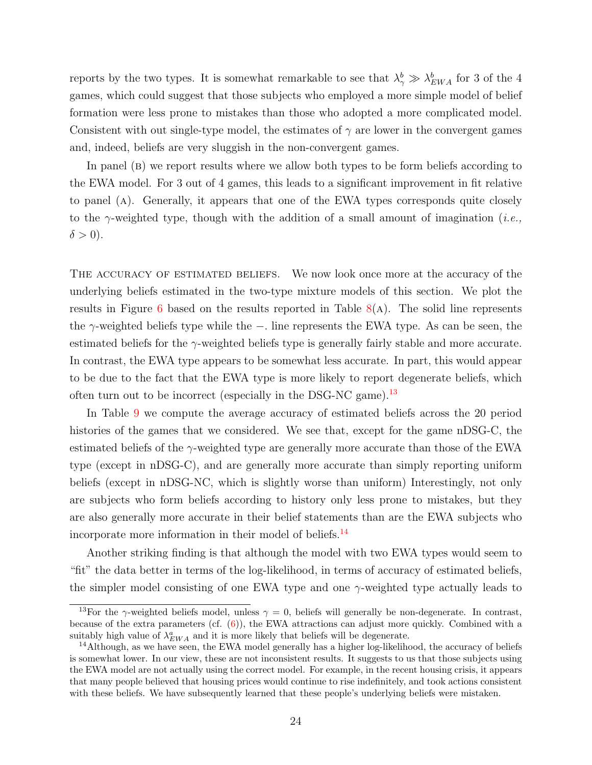reports by the two types. It is somewhat remarkable to see that  $\lambda_{\gamma}^{b} \gg \lambda_{EWA}^{b}$  for 3 of the 4 games, which could suggest that those subjects who employed a more simple model of belief formation were less prone to mistakes than those who adopted a more complicated model. Consistent with out single-type model, the estimates of  $\gamma$  are lower in the convergent games and, indeed, beliefs are very sluggish in the non-convergent games.

In panel (B) we report results where we allow both types to be form beliefs according to the EWA model. For 3 out of 4 games, this leads to a significant improvement in fit relative to panel (a). Generally, it appears that one of the EWA types corresponds quite closely to the  $\gamma$ -weighted type, though with the addition of a small amount of imagination (*i.e.*,  $\delta > 0$ ).

THE ACCURACY OF ESTIMATED BELIEFS. We now look once more at the accuracy of the underlying beliefs estimated in the two-type mixture models of this section. We plot the results in Figure [6](#page-24-1) based on the results reported in Table  $8(A)$  $8(A)$ . The solid line represents the  $\gamma$ -weighted beliefs type while the −. line represents the EWA type. As can be seen, the estimated beliefs for the  $\gamma$ -weighted beliefs type is generally fairly stable and more accurate. In contrast, the EWA type appears to be somewhat less accurate. In part, this would appear to be due to the fact that the EWA type is more likely to report degenerate beliefs, which often turn out to be incorrect (especially in the DSG-NC game).<sup>[13](#page-23-0)</sup>

In Table [9](#page-25-0) we compute the average accuracy of estimated beliefs across the 20 period histories of the games that we considered. We see that, except for the game nDSG-C, the estimated beliefs of the  $\gamma$ -weighted type are generally more accurate than those of the EWA type (except in nDSG-C), and are generally more accurate than simply reporting uniform beliefs (except in nDSG-NC, which is slightly worse than uniform) Interestingly, not only are subjects who form beliefs according to history only less prone to mistakes, but they are also generally more accurate in their belief statements than are the EWA subjects who incorporate more information in their model of beliefs.[14](#page-23-1)

Another striking finding is that although the model with two EWA types would seem to "fit" the data better in terms of the log-likelihood, in terms of accuracy of estimated beliefs, the simpler model consisting of one EWA type and one  $\gamma$ -weighted type actually leads to

<span id="page-23-0"></span><sup>&</sup>lt;sup>13</sup>For the γ-weighted beliefs model, unless  $\gamma = 0$ , beliefs will generally be non-degenerate. In contrast, because of the extra parameters (cf.  $(6)$ ), the EWA attractions can adjust more quickly. Combined with a suitably high value of  $\lambda_{EWA}^a$  and it is more likely that beliefs will be degenerate.

<span id="page-23-1"></span> $14$ Although, as we have seen, the EWA model generally has a higher log-likelihood, the accuracy of beliefs is somewhat lower. In our view, these are not inconsistent results. It suggests to us that those subjects using the EWA model are not actually using the correct model. For example, in the recent housing crisis, it appears that many people believed that housing prices would continue to rise indefinitely, and took actions consistent with these beliefs. We have subsequently learned that these people's underlying beliefs were mistaken.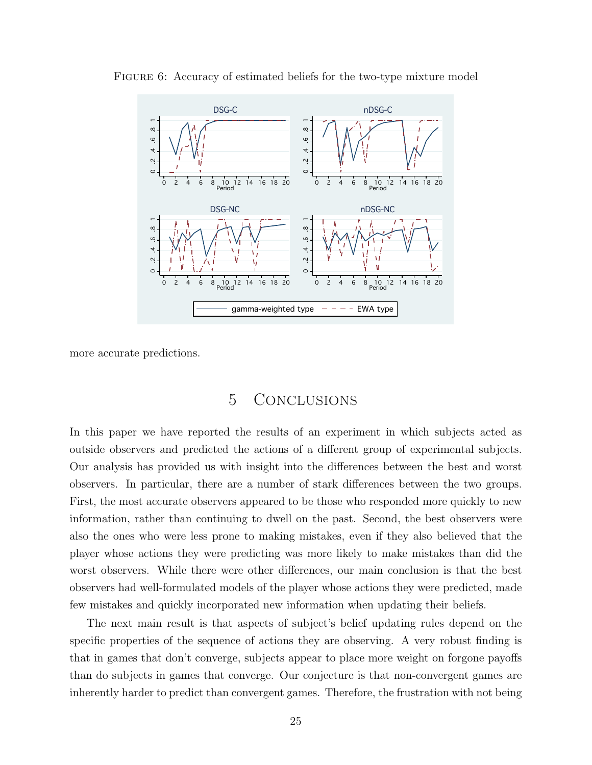

<span id="page-24-1"></span>FIGURE 6: Accuracy of estimated beliefs for the two-type mixture model

<span id="page-24-0"></span>more accurate predictions.

## 5 Conclusions

In this paper we have reported the results of an experiment in which subjects acted as outside observers and predicted the actions of a different group of experimental subjects. Our analysis has provided us with insight into the differences between the best and worst observers. In particular, there are a number of stark differences between the two groups. First, the most accurate observers appeared to be those who responded more quickly to new information, rather than continuing to dwell on the past. Second, the best observers were also the ones who were less prone to making mistakes, even if they also believed that the player whose actions they were predicting was more likely to make mistakes than did the worst observers. While there were other differences, our main conclusion is that the best observers had well-formulated models of the player whose actions they were predicted, made few mistakes and quickly incorporated new information when updating their beliefs.

The next main result is that aspects of subject's belief updating rules depend on the specific properties of the sequence of actions they are observing. A very robust finding is that in games that don't converge, subjects appear to place more weight on forgone payoffs than do subjects in games that converge. Our conjecture is that non-convergent games are inherently harder to predict than convergent games. Therefore, the frustration with not being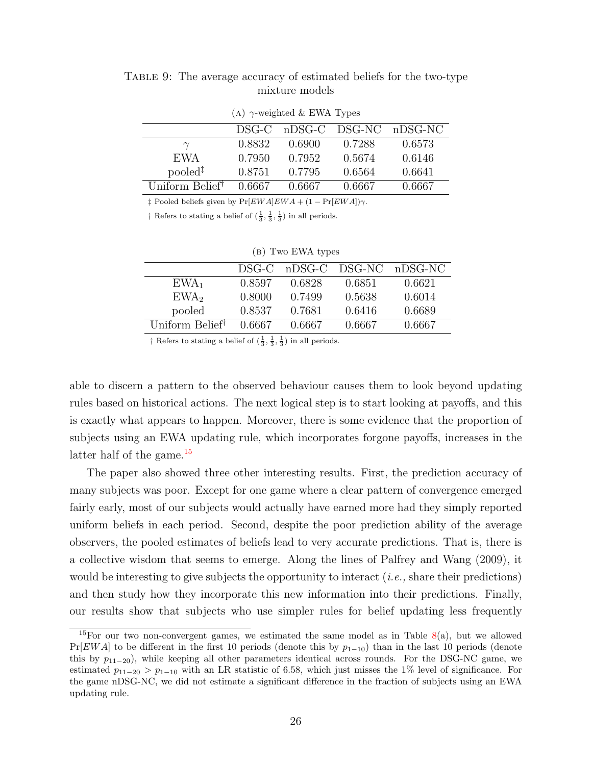| (A) $\gamma$ -weighted & EWA Types |        |          |        |         |
|------------------------------------|--------|----------|--------|---------|
|                                    | DSG-C  | $nDSG-C$ | DSG-NC | nDSG-NC |
|                                    | 0.8832 | 0.6900   | 0.7288 | 0.6573  |
| EWA                                | 0.7950 | 0.7952   | 0.5674 | 0.6146  |
| $pooled^{\ddagger}$                | 0.8751 | 0.7795   | 0.6564 | 0.6641  |
| Uniform Belief <sup>†</sup>        | 0.6667 | 0.6667   | 0.6667 | 0.6667  |

<span id="page-25-0"></span>Table 9: The average accuracy of estimated beliefs for the two-type mixture models

 $\ddagger$  Pooled beliefs given by Pr[ $EWA]EWA + (1 - Pr[EWA])\gamma$ .

 $\dagger$  Refers to stating a belief of  $(\frac{1}{3}, \frac{1}{3}, \frac{1}{3})$  in all periods.

| (B) Two EWA types           |        |          |        |           |
|-----------------------------|--------|----------|--------|-----------|
|                             | DSG-C  | $nDSG-C$ | DSG-NC | $nDSG-NC$ |
| EWA <sub>1</sub>            | 0.8597 | 0.6828   | 0.6851 | 0.6621    |
| EWA <sub>2</sub>            | 0.8000 | 0.7499   | 0.5638 | 0.6014    |
| pooled                      | 0.8537 | 0.7681   | 0.6416 | 0.6689    |
| Uniform Belief <sup>†</sup> | 0.6667 | 0.6667   | 0.6667 | 0.6667    |

(b) Two EWA types

 $\dagger$  Refers to stating a belief of  $(\frac{1}{3}, \frac{1}{3}, \frac{1}{3})$  in all periods.

able to discern a pattern to the observed behaviour causes them to look beyond updating rules based on historical actions. The next logical step is to start looking at payoffs, and this is exactly what appears to happen. Moreover, there is some evidence that the proportion of subjects using an EWA updating rule, which incorporates forgone payoffs, increases in the latter half of the game.<sup>[15](#page-25-1)</sup>

The paper also showed three other interesting results. First, the prediction accuracy of many subjects was poor. Except for one game where a clear pattern of convergence emerged fairly early, most of our subjects would actually have earned more had they simply reported uniform beliefs in each period. Second, despite the poor prediction ability of the average observers, the pooled estimates of beliefs lead to very accurate predictions. That is, there is a collective wisdom that seems to emerge. Along the lines of [Palfrey and Wang](#page-27-0) [\(2009\)](#page-27-0), it would be interesting to give subjects the opportunity to interact *(i.e., share their predictions)* and then study how they incorporate this new information into their predictions. Finally, our results show that subjects who use simpler rules for belief updating less frequently

<span id="page-25-1"></span><sup>&</sup>lt;sup>15</sup>For our two non-convergent games, we estimated the same model as in Table  $8(a)$  $8(a)$ , but we allowed  $Pr[EWA]$  to be different in the first 10 periods (denote this by  $p_{1-10}$ ) than in the last 10 periods (denote this by  $p_{11-20}$ , while keeping all other parameters identical across rounds. For the DSG-NC game, we estimated  $p_{11-20} > p_{1-10}$  with an LR statistic of 6.58, which just misses the 1% level of significance. For the game nDSG-NC, we did not estimate a significant difference in the fraction of subjects using an EWA updating rule.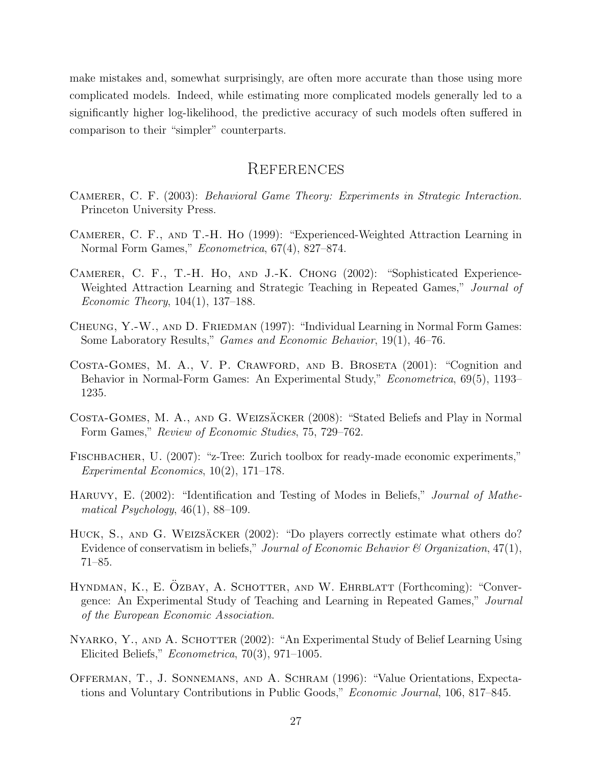make mistakes and, somewhat surprisingly, are often more accurate than those using more complicated models. Indeed, while estimating more complicated models generally led to a significantly higher log-likelihood, the predictive accuracy of such models often suffered in comparison to their "simpler" counterparts.

## **REFERENCES**

- <span id="page-26-11"></span>CAMERER, C. F. (2003): Behavioral Game Theory: Experiments in Strategic Interaction. Princeton University Press.
- <span id="page-26-9"></span>Camerer, C. F., and T.-H. Ho (1999): "Experienced-Weighted Attraction Learning in Normal Form Games," Econometrica, 67(4), 827–874.
- <span id="page-26-10"></span>Camerer, C. F., T.-H. Ho, and J.-K. Chong (2002): "Sophisticated Experience-Weighted Attraction Learning and Strategic Teaching in Repeated Games," Journal of Economic Theory, 104(1), 137–188.
- <span id="page-26-1"></span>CHEUNG, Y.-W., AND D. FRIEDMAN (1997): "Individual Learning in Normal Form Games: Some Laboratory Results," Games and Economic Behavior, 19(1), 46–76.
- <span id="page-26-8"></span>Costa-Gomes, M. A., V. P. Crawford, and B. Broseta (2001): "Cognition and Behavior in Normal-Form Games: An Experimental Study," Econometrica, 69(5), 1193– 1235.
- <span id="page-26-0"></span>COSTA-GOMES, M. A., AND G. WEIZSÄCKER (2008): "Stated Beliefs and Play in Normal Form Games," Review of Economic Studies, 75, 729–762.
- <span id="page-26-4"></span>FISCHBACHER, U. (2007): "z-Tree: Zurich toolbox for ready-made economic experiments," Experimental Economics, 10(2), 171–178.
- <span id="page-26-2"></span>HARUVY, E. (2002): "Identification and Testing of Modes in Beliefs," *Journal of Mathe*matical Psychology,  $46(1)$ , 88-109.
- <span id="page-26-5"></span>HUCK, S., AND G. WEIZSÄCKER (2002): "Do players correctly estimate what others do? Evidence of conservatism in beliefs," Journal of Economic Behavior & Organization,  $47(1)$ , 71–85.
- <span id="page-26-3"></span>HYNDMAN, K., E. ÖZBAY, A. SCHOTTER, AND W. EHRBLATT (Forthcoming): "Convergence: An Experimental Study of Teaching and Learning in Repeated Games," Journal of the European Economic Association.
- <span id="page-26-7"></span>NYARKO, Y., AND A. SCHOTTER (2002): "An Experimental Study of Belief Learning Using Elicited Beliefs," Econometrica, 70(3), 971–1005.
- <span id="page-26-6"></span>Offerman, T., J. Sonnemans, and A. Schram (1996): "Value Orientations, Expectations and Voluntary Contributions in Public Goods," Economic Journal, 106, 817–845.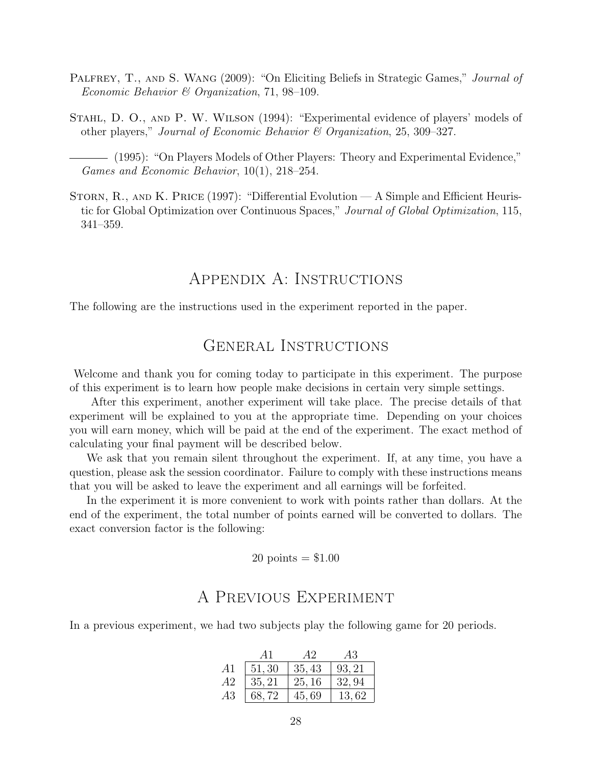- <span id="page-27-0"></span>PALFREY, T., AND S. WANG (2009): "On Eliciting Beliefs in Strategic Games," Journal of Economic Behavior & Organization, 71, 98–109.
- <span id="page-27-1"></span>Stahl, D. O., and P. W. Wilson (1994): "Experimental evidence of players' models of other players," Journal of Economic Behavior & Organization, 25, 309–327.

<span id="page-27-2"></span>(1995): "On Players Models of Other Players: Theory and Experimental Evidence," Games and Economic Behavior, 10(1), 218–254.

<span id="page-27-3"></span>Storn, R., and K. Price (1997): "Differential Evolution — A Simple and Efficient Heuristic for Global Optimization over Continuous Spaces," Journal of Global Optimization, 115, 341–359.

# Appendix A: Instructions

The following are the instructions used in the experiment reported in the paper.

# GENERAL INSTRUCTIONS

Welcome and thank you for coming today to participate in this experiment. The purpose of this experiment is to learn how people make decisions in certain very simple settings.

After this experiment, another experiment will take place. The precise details of that experiment will be explained to you at the appropriate time. Depending on your choices you will earn money, which will be paid at the end of the experiment. The exact method of calculating your final payment will be described below.

We ask that you remain silent throughout the experiment. If, at any time, you have a question, please ask the session coordinator. Failure to comply with these instructions means that you will be asked to leave the experiment and all earnings will be forfeited.

In the experiment it is more convenient to work with points rather than dollars. At the end of the experiment, the total number of points earned will be converted to dollars. The exact conversion factor is the following:

#### $20 \text{ points} = $1.00$

# A Previous Experiment

In a previous experiment, we had two subjects play the following game for 20 periods.

|    | A1     | A2     | A3     |
|----|--------|--------|--------|
| A1 | 51, 30 | 35, 43 | 93, 21 |
| A2 | 35, 21 | 25, 16 | 32, 94 |
| A3 | 68,72  | 45,69  | 13,62  |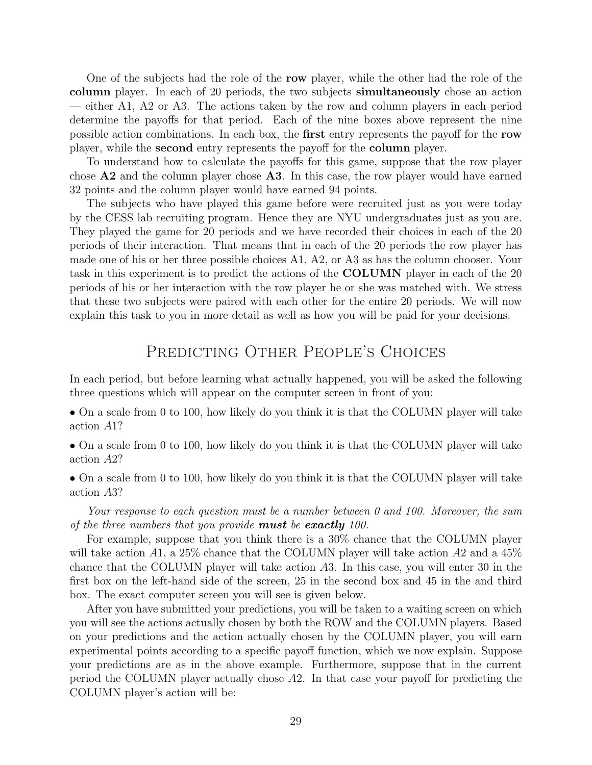One of the subjects had the role of the row player, while the other had the role of the column player. In each of 20 periods, the two subjects simultaneously chose an action — either A1, A2 or A3. The actions taken by the row and column players in each period determine the payoffs for that period. Each of the nine boxes above represent the nine possible action combinations. In each box, the first entry represents the payoff for the row player, while the second entry represents the payoff for the column player.

To understand how to calculate the payoffs for this game, suppose that the row player chose A2 and the column player chose A3. In this case, the row player would have earned 32 points and the column player would have earned 94 points.

The subjects who have played this game before were recruited just as you were today by the CESS lab recruiting program. Hence they are NYU undergraduates just as you are. They played the game for 20 periods and we have recorded their choices in each of the 20 periods of their interaction. That means that in each of the 20 periods the row player has made one of his or her three possible choices A1, A2, or A3 as has the column chooser. Your task in this experiment is to predict the actions of the COLUMN player in each of the 20 periods of his or her interaction with the row player he or she was matched with. We stress that these two subjects were paired with each other for the entire 20 periods. We will now explain this task to you in more detail as well as how you will be paid for your decisions.

# PREDICTING OTHER PEOPLE'S CHOICES

In each period, but before learning what actually happened, you will be asked the following three questions which will appear on the computer screen in front of you:

• On a scale from 0 to 100, how likely do you think it is that the COLUMN player will take action A1?

• On a scale from 0 to 100, how likely do you think it is that the COLUMN player will take action A2?

• On a scale from 0 to 100, how likely do you think it is that the COLUMN player will take action A3?

Your response to each question must be a number between 0 and 100. Moreover, the sum of the three numbers that you provide **must** be **exactly** 100.

For example, suppose that you think there is a 30% chance that the COLUMN player will take action A1, a  $25\%$  chance that the COLUMN player will take action A2 and a  $45\%$ chance that the COLUMN player will take action A3. In this case, you will enter 30 in the first box on the left-hand side of the screen, 25 in the second box and 45 in the and third box. The exact computer screen you will see is given below.

After you have submitted your predictions, you will be taken to a waiting screen on which you will see the actions actually chosen by both the ROW and the COLUMN players. Based on your predictions and the action actually chosen by the COLUMN player, you will earn experimental points according to a specific payoff function, which we now explain. Suppose your predictions are as in the above example. Furthermore, suppose that in the current period the COLUMN player actually chose A2. In that case your payoff for predicting the COLUMN player's action will be: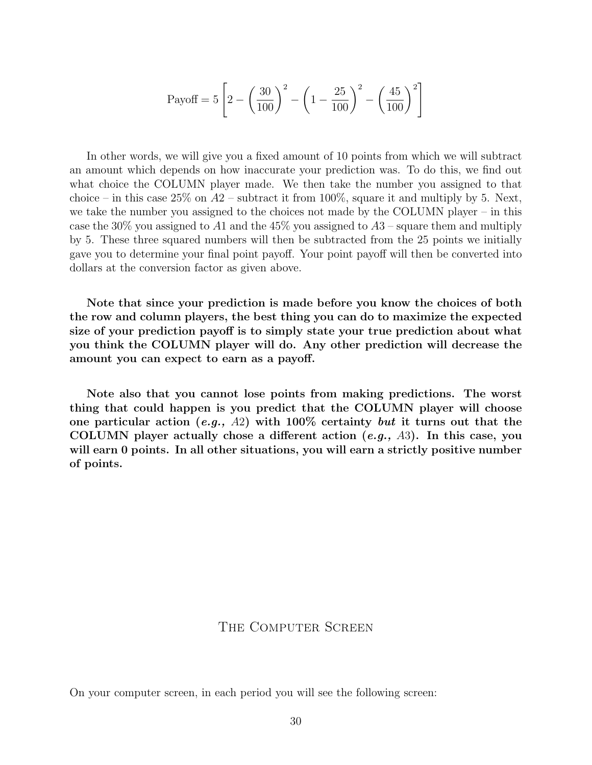Payoff = 
$$
5\left[2 - \left(\frac{30}{100}\right)^2 - \left(1 - \frac{25}{100}\right)^2 - \left(\frac{45}{100}\right)^2\right]
$$

In other words, we will give you a fixed amount of 10 points from which we will subtract an amount which depends on how inaccurate your prediction was. To do this, we find out what choice the COLUMN player made. We then take the number you assigned to that choice – in this case 25% on  $A2$  – subtract it from 100%, square it and multiply by 5. Next, we take the number you assigned to the choices not made by the COLUMN player – in this case the 30% you assigned to A1 and the 45% you assigned to  $A3$  – square them and multiply by 5. These three squared numbers will then be subtracted from the 25 points we initially gave you to determine your final point payoff. Your point payoff will then be converted into dollars at the conversion factor as given above.

Note that since your prediction is made before you know the choices of both the row and column players, the best thing you can do to maximize the expected size of your prediction payoff is to simply state your true prediction about what you think the COLUMN player will do. Any other prediction will decrease the amount you can expect to earn as a payoff.

Note also that you cannot lose points from making predictions. The worst thing that could happen is you predict that the COLUMN player will choose one particular action (e.g., A2) with 100% certainty but it turns out that the COLUMN player actually chose a different action  $(e.g., A3)$ . In this case, you will earn 0 points. In all other situations, you will earn a strictly positive number of points.

### THE COMPUTER SCREEN

On your computer screen, in each period you will see the following screen: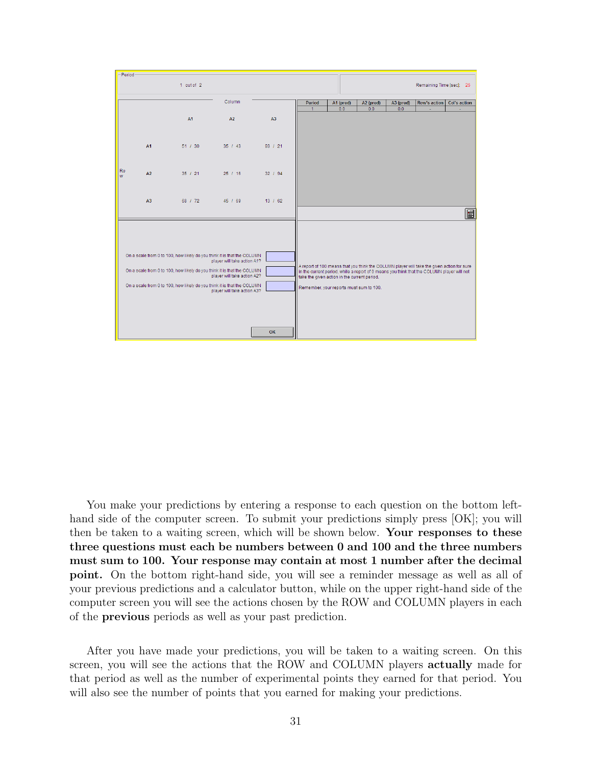

You make your predictions by entering a response to each question on the bottom lefthand side of the computer screen. To submit your predictions simply press [OK]; you will then be taken to a waiting screen, which will be shown below. Your responses to these three questions must each be numbers between 0 and 100 and the three numbers must sum to 100. Your response may contain at most 1 number after the decimal point. On the bottom right-hand side, you will see a reminder message as well as all of your previous predictions and a calculator button, while on the upper right-hand side of the computer screen you will see the actions chosen by the ROW and COLUMN players in each of the previous periods as well as your past prediction.

After you have made your predictions, you will be taken to a waiting screen. On this screen, you will see the actions that the ROW and COLUMN players actually made for that period as well as the number of experimental points they earned for that period. You will also see the number of points that you earned for making your predictions.